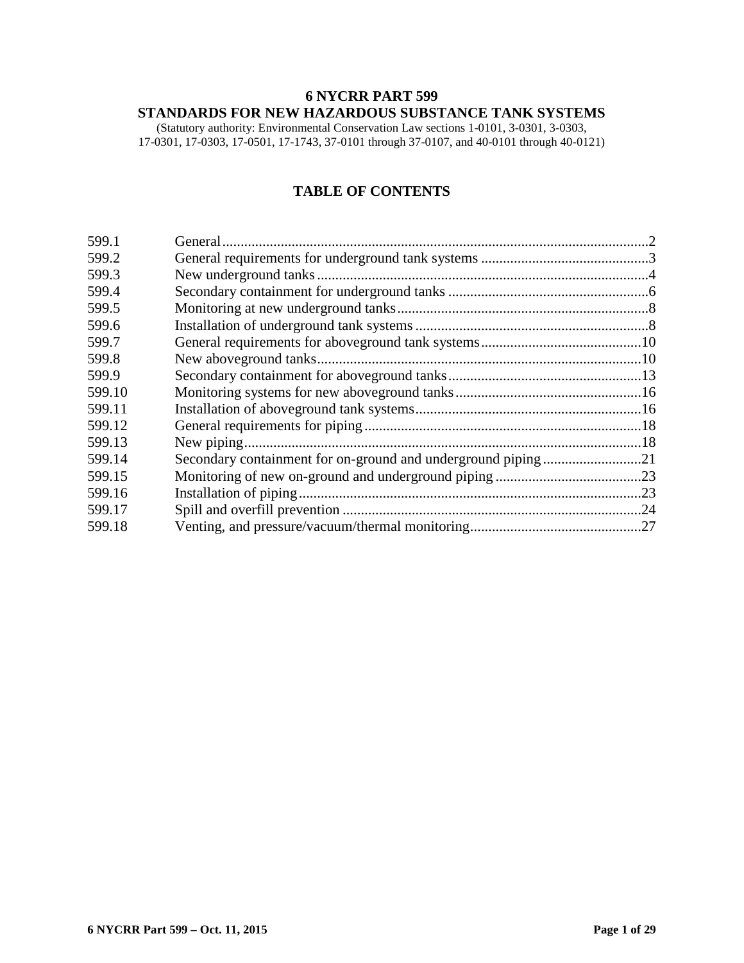# **6 NYCRR PART 599 STANDARDS FOR NEW HAZARDOUS SUBSTANCE TANK SYSTEMS**

(Statutory authority: Environmental Conservation Law sections 1-0101, 3-0301, 3-0303, 17-0301, 17-0303, 17-0501, 17-1743, 37-0101 through 37-0107, and 40-0101 through 40-0121)

## **TABLE OF CONTENTS**

| 599.1  |  |
|--------|--|
| 599.2  |  |
| 599.3  |  |
| 599.4  |  |
| 599.5  |  |
| 599.6  |  |
| 599.7  |  |
| 599.8  |  |
| 599.9  |  |
| 599.10 |  |
| 599.11 |  |
| 599.12 |  |
| 599.13 |  |
| 599.14 |  |
| 599.15 |  |
| 599.16 |  |
| 599.17 |  |
| 599.18 |  |
|        |  |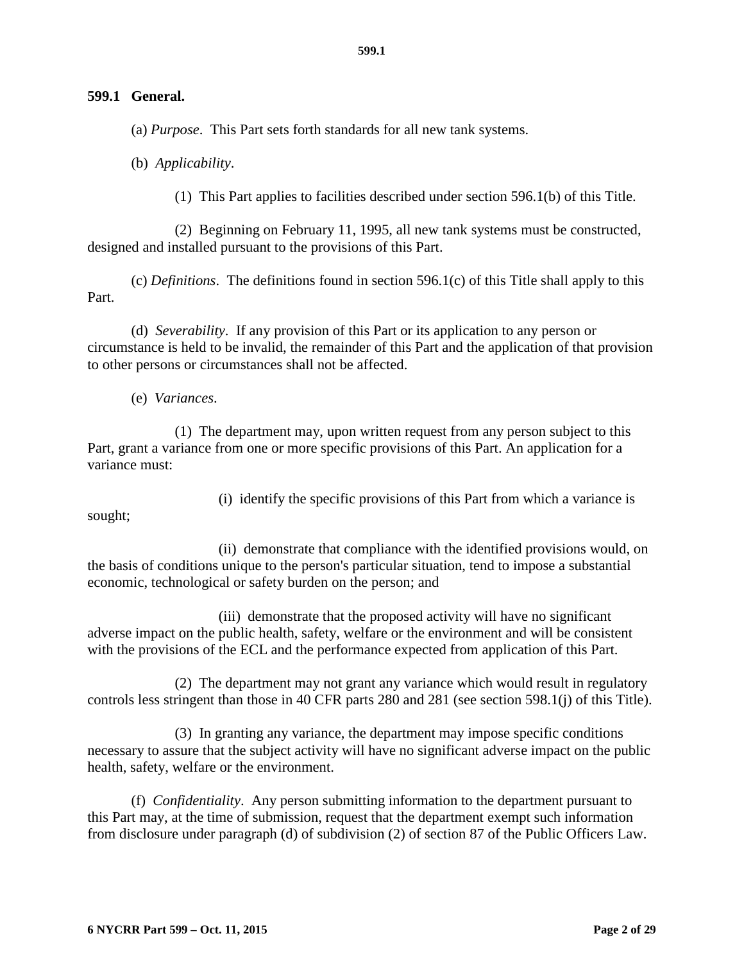#### <span id="page-1-0"></span>**599.1 General.**

(a) *Purpose*. This Part sets forth standards for all new tank systems.

(b) *Applicability*.

(1) This Part applies to facilities described under section 596.1(b) of this Title.

(2) Beginning on February 11, 1995, all new tank systems must be constructed, designed and installed pursuant to the provisions of this Part.

(c) *Definitions*. The definitions found in section 596.1(c) of this Title shall apply to this Part.

(d) *Severability*. If any provision of this Part or its application to any person or circumstance is held to be invalid, the remainder of this Part and the application of that provision to other persons or circumstances shall not be affected.

(e) *Variances*.

(1) The department may, upon written request from any person subject to this Part, grant a variance from one or more specific provisions of this Part. An application for a variance must:

sought;

(i) identify the specific provisions of this Part from which a variance is

(ii) demonstrate that compliance with the identified provisions would, on the basis of conditions unique to the person's particular situation, tend to impose a substantial economic, technological or safety burden on the person; and

(iii) demonstrate that the proposed activity will have no significant adverse impact on the public health, safety, welfare or the environment and will be consistent with the provisions of the ECL and the performance expected from application of this Part.

(2) The department may not grant any variance which would result in regulatory controls less stringent than those in 40 CFR parts 280 and 281 (see section 598.1(j) of this Title).

(3) In granting any variance, the department may impose specific conditions necessary to assure that the subject activity will have no significant adverse impact on the public health, safety, welfare or the environment.

(f) *Confidentiality*. Any person submitting information to the department pursuant to this Part may, at the time of submission, request that the department exempt such information from disclosure under paragraph (d) of subdivision (2) of section 87 of the Public Officers Law.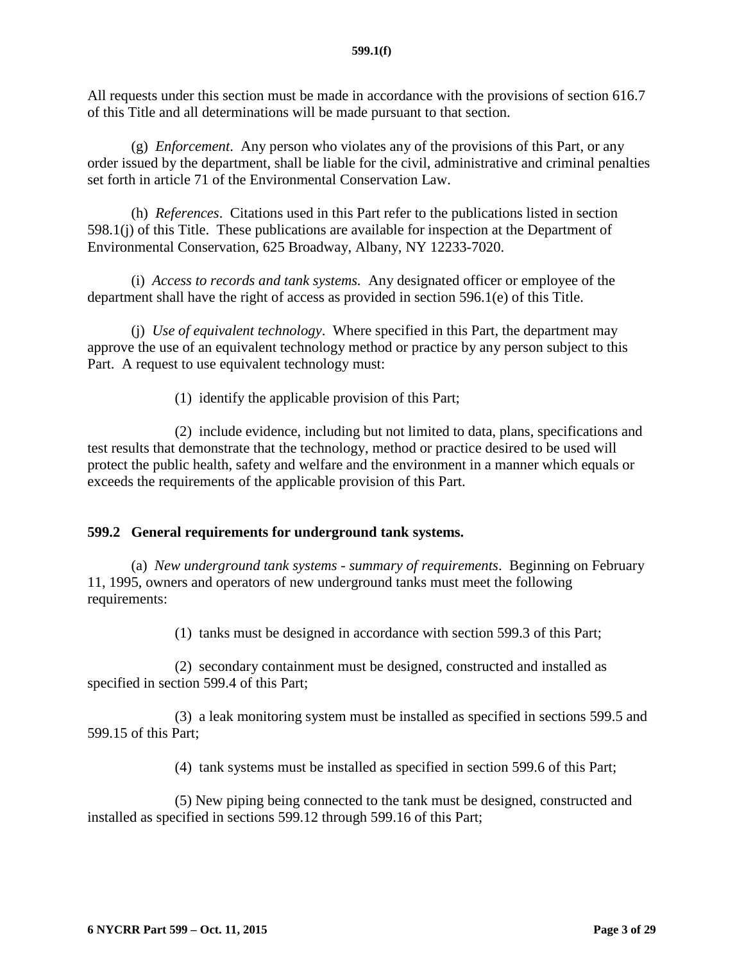All requests under this section must be made in accordance with the provisions of section 616.7 of this Title and all determinations will be made pursuant to that section.

(g) *Enforcement*. Any person who violates any of the provisions of this Part, or any order issued by the department, shall be liable for the civil, administrative and criminal penalties set forth in article 71 of the Environmental Conservation Law.

(h) *References*. Citations used in this Part refer to the publications listed in section 598.1(j) of this Title. These publications are available for inspection at the Department of Environmental Conservation, 625 Broadway, Albany, NY 12233-7020.

(i) *Access to records and tank systems.* Any designated officer or employee of the department shall have the right of access as provided in section 596.1(e) of this Title.

(j) *Use of equivalent technology*. Where specified in this Part, the department may approve the use of an equivalent technology method or practice by any person subject to this Part. A request to use equivalent technology must:

(1) identify the applicable provision of this Part;

(2) include evidence, including but not limited to data, plans, specifications and test results that demonstrate that the technology, method or practice desired to be used will protect the public health, safety and welfare and the environment in a manner which equals or exceeds the requirements of the applicable provision of this Part.

### <span id="page-2-0"></span>**599.2 General requirements for underground tank systems.**

(a) *New underground tank systems - summary of requirements*. Beginning on February 11, 1995, owners and operators of new underground tanks must meet the following requirements:

(1) tanks must be designed in accordance with section 599.3 of this Part;

(2) secondary containment must be designed, constructed and installed as specified in section 599.4 of this Part;

(3) a leak monitoring system must be installed as specified in sections 599.5 and 599.15 of this Part;

(4) tank systems must be installed as specified in section 599.6 of this Part;

(5) New piping being connected to the tank must be designed, constructed and installed as specified in sections 599.12 through 599.16 of this Part;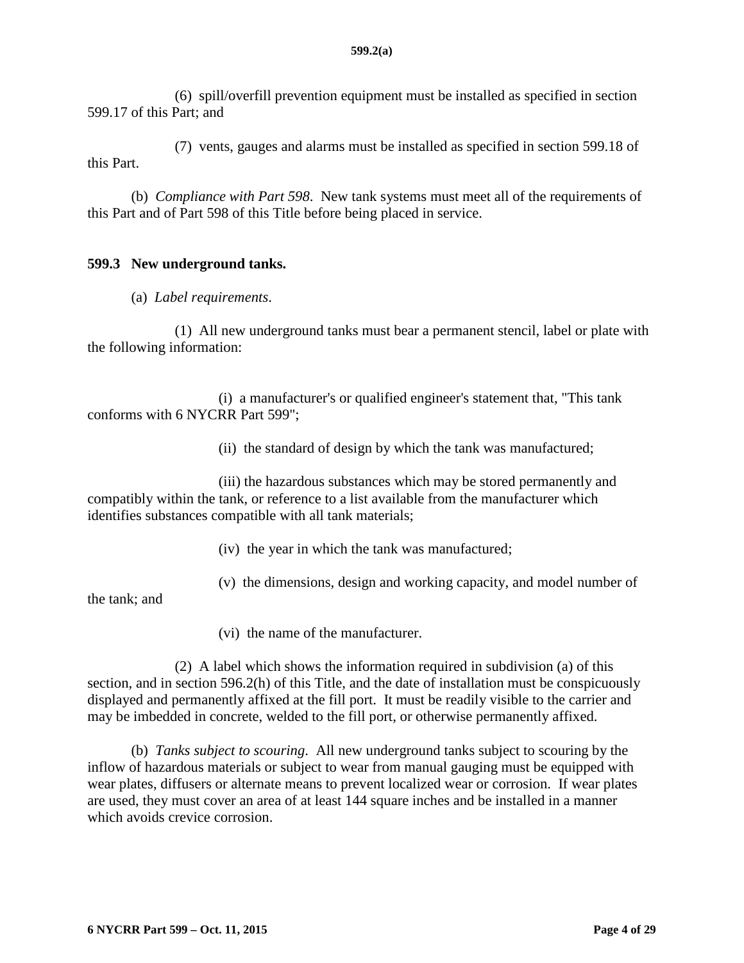(6) spill/overfill prevention equipment must be installed as specified in section 599.17 of this Part; and

(7) vents, gauges and alarms must be installed as specified in section 599.18 of this Part.

(b) *Compliance with Part 598*. New tank systems must meet all of the requirements of this Part and of Part 598 of this Title before being placed in service.

### <span id="page-3-0"></span>**599.3 New underground tanks.**

(a) *Label requirements*.

(1) All new underground tanks must bear a permanent stencil, label or plate with the following information:

(i) a manufacturer's or qualified engineer's statement that, "This tank conforms with 6 NYCRR Part 599";

(ii) the standard of design by which the tank was manufactured;

(iii) the hazardous substances which may be stored permanently and compatibly within the tank, or reference to a list available from the manufacturer which identifies substances compatible with all tank materials;

- (iv) the year in which the tank was manufactured;
- (v) the dimensions, design and working capacity, and model number of

the tank; and

(vi) the name of the manufacturer.

(2) A label which shows the information required in subdivision (a) of this section, and in section 596.2(h) of this Title, and the date of installation must be conspicuously displayed and permanently affixed at the fill port. It must be readily visible to the carrier and may be imbedded in concrete, welded to the fill port, or otherwise permanently affixed.

(b) *Tanks subject to scouring*. All new underground tanks subject to scouring by the inflow of hazardous materials or subject to wear from manual gauging must be equipped with wear plates, diffusers or alternate means to prevent localized wear or corrosion. If wear plates are used, they must cover an area of at least 144 square inches and be installed in a manner which avoids crevice corrosion.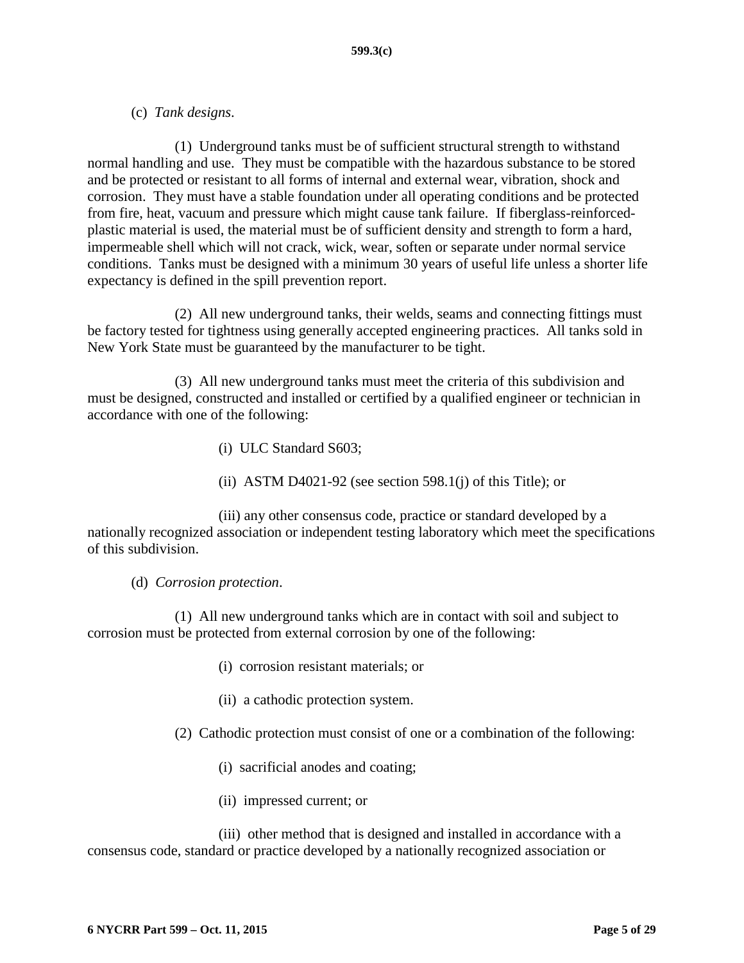### (c) *Tank designs*.

(1) Underground tanks must be of sufficient structural strength to withstand normal handling and use. They must be compatible with the hazardous substance to be stored and be protected or resistant to all forms of internal and external wear, vibration, shock and corrosion. They must have a stable foundation under all operating conditions and be protected from fire, heat, vacuum and pressure which might cause tank failure. If fiberglass-reinforcedplastic material is used, the material must be of sufficient density and strength to form a hard, impermeable shell which will not crack, wick, wear, soften or separate under normal service conditions. Tanks must be designed with a minimum 30 years of useful life unless a shorter life expectancy is defined in the spill prevention report.

(2) All new underground tanks, their welds, seams and connecting fittings must be factory tested for tightness using generally accepted engineering practices. All tanks sold in New York State must be guaranteed by the manufacturer to be tight.

(3) All new underground tanks must meet the criteria of this subdivision and must be designed, constructed and installed or certified by a qualified engineer or technician in accordance with one of the following:

- (i) ULC Standard S603;
- (ii) ASTM D4021-92 (see section 598.1(j) of this Title); or

(iii) any other consensus code, practice or standard developed by a nationally recognized association or independent testing laboratory which meet the specifications of this subdivision.

#### (d) *Corrosion protection*.

(1) All new underground tanks which are in contact with soil and subject to corrosion must be protected from external corrosion by one of the following:

- (i) corrosion resistant materials; or
- (ii) a cathodic protection system.

(2) Cathodic protection must consist of one or a combination of the following:

- (i) sacrificial anodes and coating;
- (ii) impressed current; or

(iii) other method that is designed and installed in accordance with a consensus code, standard or practice developed by a nationally recognized association or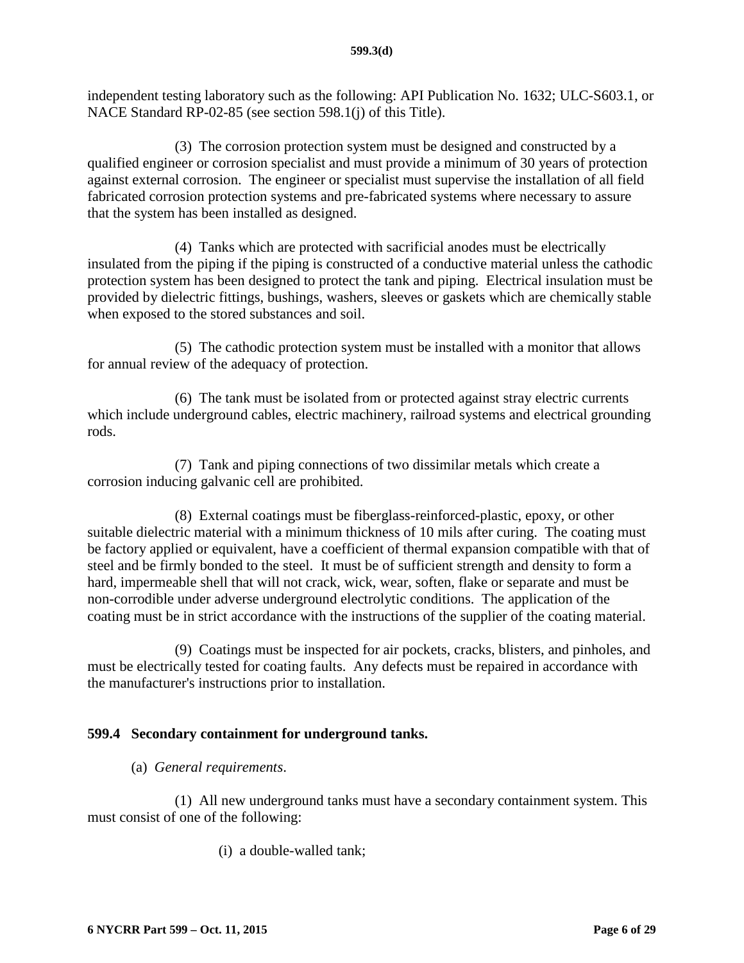independent testing laboratory such as the following: API Publication No. 1632; ULC-S603.1, or NACE Standard RP-02-85 (see section 598.1(j) of this Title).

(3) The corrosion protection system must be designed and constructed by a qualified engineer or corrosion specialist and must provide a minimum of 30 years of protection against external corrosion. The engineer or specialist must supervise the installation of all field fabricated corrosion protection systems and pre-fabricated systems where necessary to assure that the system has been installed as designed.

(4) Tanks which are protected with sacrificial anodes must be electrically insulated from the piping if the piping is constructed of a conductive material unless the cathodic protection system has been designed to protect the tank and piping. Electrical insulation must be provided by dielectric fittings, bushings, washers, sleeves or gaskets which are chemically stable when exposed to the stored substances and soil.

(5) The cathodic protection system must be installed with a monitor that allows for annual review of the adequacy of protection.

(6) The tank must be isolated from or protected against stray electric currents which include underground cables, electric machinery, railroad systems and electrical grounding rods.

(7) Tank and piping connections of two dissimilar metals which create a corrosion inducing galvanic cell are prohibited.

(8) External coatings must be fiberglass-reinforced-plastic, epoxy, or other suitable dielectric material with a minimum thickness of 10 mils after curing. The coating must be factory applied or equivalent, have a coefficient of thermal expansion compatible with that of steel and be firmly bonded to the steel. It must be of sufficient strength and density to form a hard, impermeable shell that will not crack, wick, wear, soften, flake or separate and must be non-corrodible under adverse underground electrolytic conditions. The application of the coating must be in strict accordance with the instructions of the supplier of the coating material.

(9) Coatings must be inspected for air pockets, cracks, blisters, and pinholes, and must be electrically tested for coating faults. Any defects must be repaired in accordance with the manufacturer's instructions prior to installation.

# <span id="page-5-0"></span>**599.4 Secondary containment for underground tanks.**

(a) *General requirements*.

(1) All new underground tanks must have a secondary containment system. This must consist of one of the following:

(i) a double-walled tank;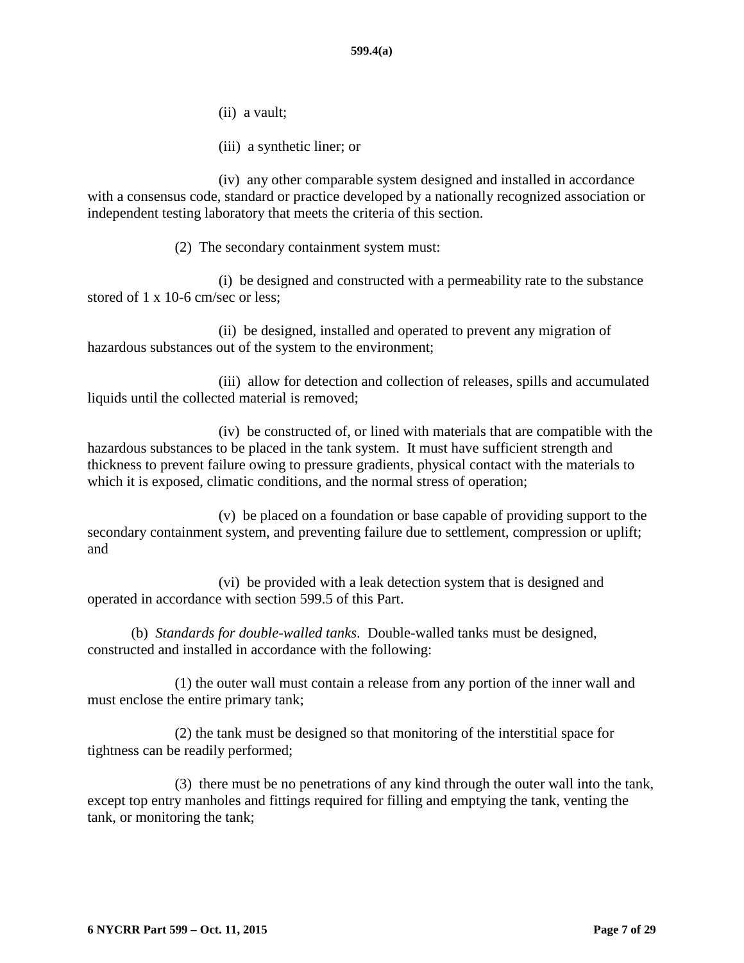- (ii) a vault;
- (iii) a synthetic liner; or

(iv) any other comparable system designed and installed in accordance with a consensus code, standard or practice developed by a nationally recognized association or independent testing laboratory that meets the criteria of this section.

(2) The secondary containment system must:

(i) be designed and constructed with a permeability rate to the substance stored of 1 x 10-6 cm/sec or less;

(ii) be designed, installed and operated to prevent any migration of hazardous substances out of the system to the environment;

(iii) allow for detection and collection of releases, spills and accumulated liquids until the collected material is removed;

(iv) be constructed of, or lined with materials that are compatible with the hazardous substances to be placed in the tank system. It must have sufficient strength and thickness to prevent failure owing to pressure gradients, physical contact with the materials to which it is exposed, climatic conditions, and the normal stress of operation;

(v) be placed on a foundation or base capable of providing support to the secondary containment system, and preventing failure due to settlement, compression or uplift; and

(vi) be provided with a leak detection system that is designed and operated in accordance with section 599.5 of this Part.

(b) *Standards for double-walled tanks*. Double-walled tanks must be designed, constructed and installed in accordance with the following:

(1) the outer wall must contain a release from any portion of the inner wall and must enclose the entire primary tank;

(2) the tank must be designed so that monitoring of the interstitial space for tightness can be readily performed;

(3) there must be no penetrations of any kind through the outer wall into the tank, except top entry manholes and fittings required for filling and emptying the tank, venting the tank, or monitoring the tank;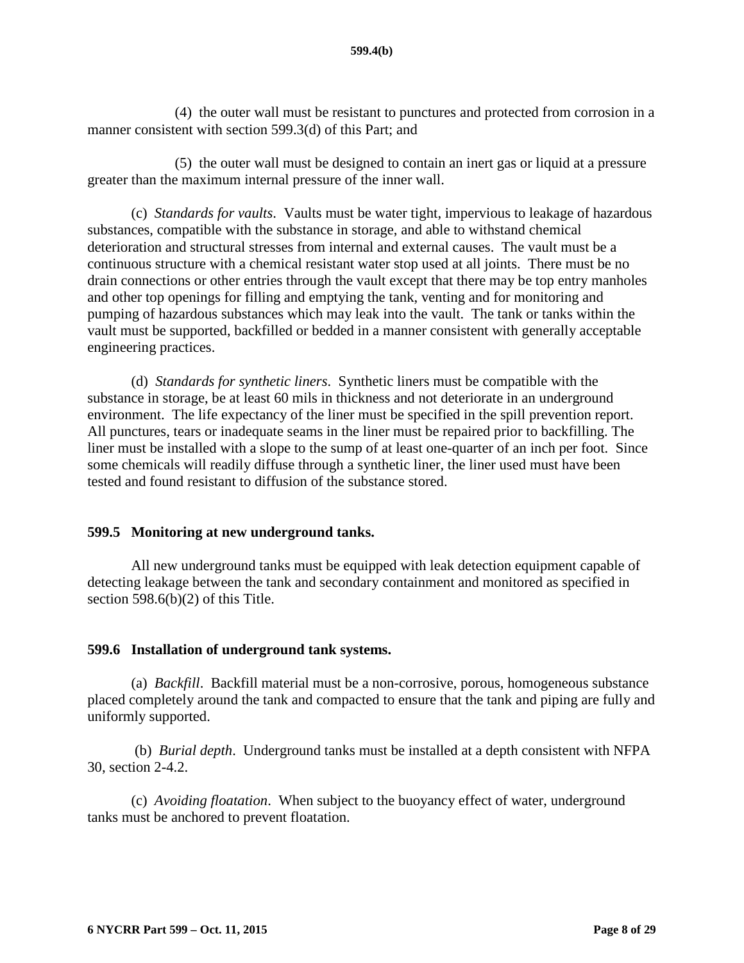(4) the outer wall must be resistant to punctures and protected from corrosion in a manner consistent with section 599.3(d) of this Part; and

(5) the outer wall must be designed to contain an inert gas or liquid at a pressure greater than the maximum internal pressure of the inner wall.

(c) *Standards for vaults*. Vaults must be water tight, impervious to leakage of hazardous substances, compatible with the substance in storage, and able to withstand chemical deterioration and structural stresses from internal and external causes. The vault must be a continuous structure with a chemical resistant water stop used at all joints. There must be no drain connections or other entries through the vault except that there may be top entry manholes and other top openings for filling and emptying the tank, venting and for monitoring and pumping of hazardous substances which may leak into the vault. The tank or tanks within the vault must be supported, backfilled or bedded in a manner consistent with generally acceptable engineering practices.

(d) *Standards for synthetic liners*. Synthetic liners must be compatible with the substance in storage, be at least 60 mils in thickness and not deteriorate in an underground environment. The life expectancy of the liner must be specified in the spill prevention report. All punctures, tears or inadequate seams in the liner must be repaired prior to backfilling. The liner must be installed with a slope to the sump of at least one-quarter of an inch per foot. Since some chemicals will readily diffuse through a synthetic liner, the liner used must have been tested and found resistant to diffusion of the substance stored.

### <span id="page-7-0"></span>**599.5 Monitoring at new underground tanks.**

All new underground tanks must be equipped with leak detection equipment capable of detecting leakage between the tank and secondary containment and monitored as specified in section 598.6(b)(2) of this Title.

### <span id="page-7-1"></span>**599.6 Installation of underground tank systems.**

(a) *Backfill*. Backfill material must be a non-corrosive, porous, homogeneous substance placed completely around the tank and compacted to ensure that the tank and piping are fully and uniformly supported.

(b) *Burial depth*. Underground tanks must be installed at a depth consistent with NFPA 30, section 2-4.2.

(c) *Avoiding floatation*. When subject to the buoyancy effect of water, underground tanks must be anchored to prevent floatation.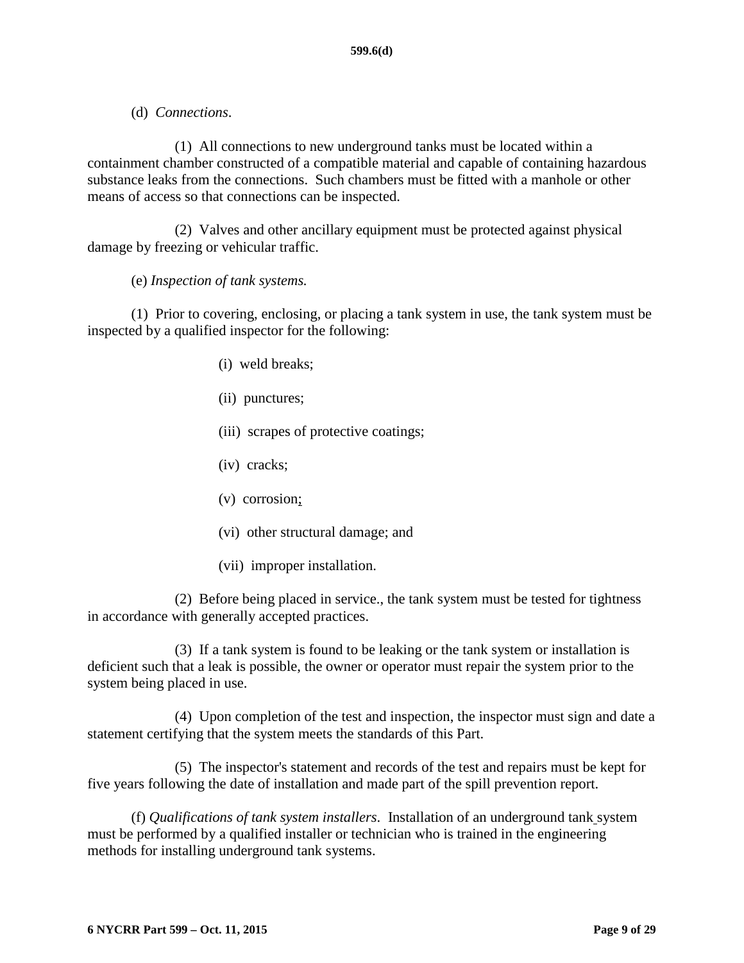(d) *Connections*.

(1) All connections to new underground tanks must be located within a containment chamber constructed of a compatible material and capable of containing hazardous substance leaks from the connections. Such chambers must be fitted with a manhole or other means of access so that connections can be inspected.

(2) Valves and other ancillary equipment must be protected against physical damage by freezing or vehicular traffic.

(e) *Inspection of tank systems.* 

(1) Prior to covering, enclosing, or placing a tank system in use, the tank system must be inspected by a qualified inspector for the following:

- (i) weld breaks;
- (ii) punctures;
- (iii) scrapes of protective coatings;
- (iv) cracks;
- (v) corrosion;
- (vi) other structural damage; and
- (vii) improper installation.

(2) Before being placed in service., the tank system must be tested for tightness in accordance with generally accepted practices.

(3) If a tank system is found to be leaking or the tank system or installation is deficient such that a leak is possible, the owner or operator must repair the system prior to the system being placed in use.

(4) Upon completion of the test and inspection, the inspector must sign and date a statement certifying that the system meets the standards of this Part.

(5) The inspector's statement and records of the test and repairs must be kept for five years following the date of installation and made part of the spill prevention report.

(f) *Qualifications of tank system installers*. Installation of an underground tank system must be performed by a qualified installer or technician who is trained in the engineering methods for installing underground tank systems.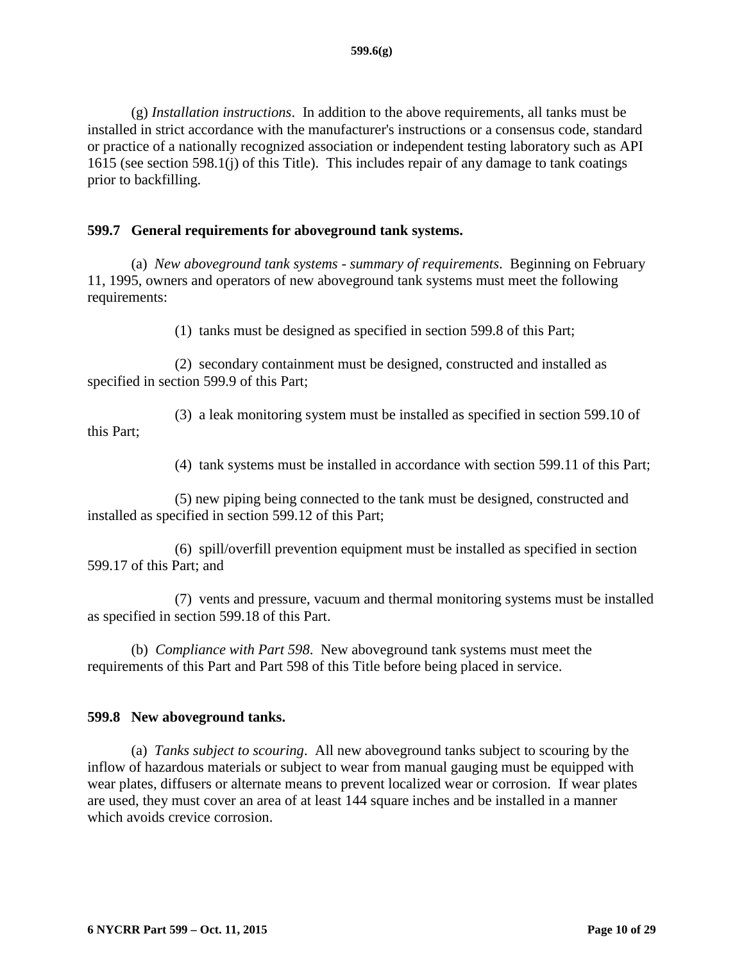(g) *Installation instructions*. In addition to the above requirements, all tanks must be installed in strict accordance with the manufacturer's instructions or a consensus code, standard or practice of a nationally recognized association or independent testing laboratory such as API 1615 (see section 598.1(j) of this Title). This includes repair of any damage to tank coatings prior to backfilling.

### <span id="page-9-0"></span>**599.7 General requirements for aboveground tank systems.**

(a) *New aboveground tank systems - summary of requirements*. Beginning on February 11, 1995, owners and operators of new aboveground tank systems must meet the following requirements:

(1) tanks must be designed as specified in section 599.8 of this Part;

(2) secondary containment must be designed, constructed and installed as specified in section 599.9 of this Part;

(3) a leak monitoring system must be installed as specified in section 599.10 of this Part;

(4) tank systems must be installed in accordance with section 599.11 of this Part;

(5) new piping being connected to the tank must be designed, constructed and installed as specified in section 599.12 of this Part;

(6) spill/overfill prevention equipment must be installed as specified in section 599.17 of this Part; and

(7) vents and pressure, vacuum and thermal monitoring systems must be installed as specified in section 599.18 of this Part.

(b) *Compliance with Part 598*. New aboveground tank systems must meet the requirements of this Part and Part 598 of this Title before being placed in service.

### <span id="page-9-1"></span>**599.8 New aboveground tanks.**

(a) *Tanks subject to scouring*. All new aboveground tanks subject to scouring by the inflow of hazardous materials or subject to wear from manual gauging must be equipped with wear plates, diffusers or alternate means to prevent localized wear or corrosion. If wear plates are used, they must cover an area of at least 144 square inches and be installed in a manner which avoids crevice corrosion.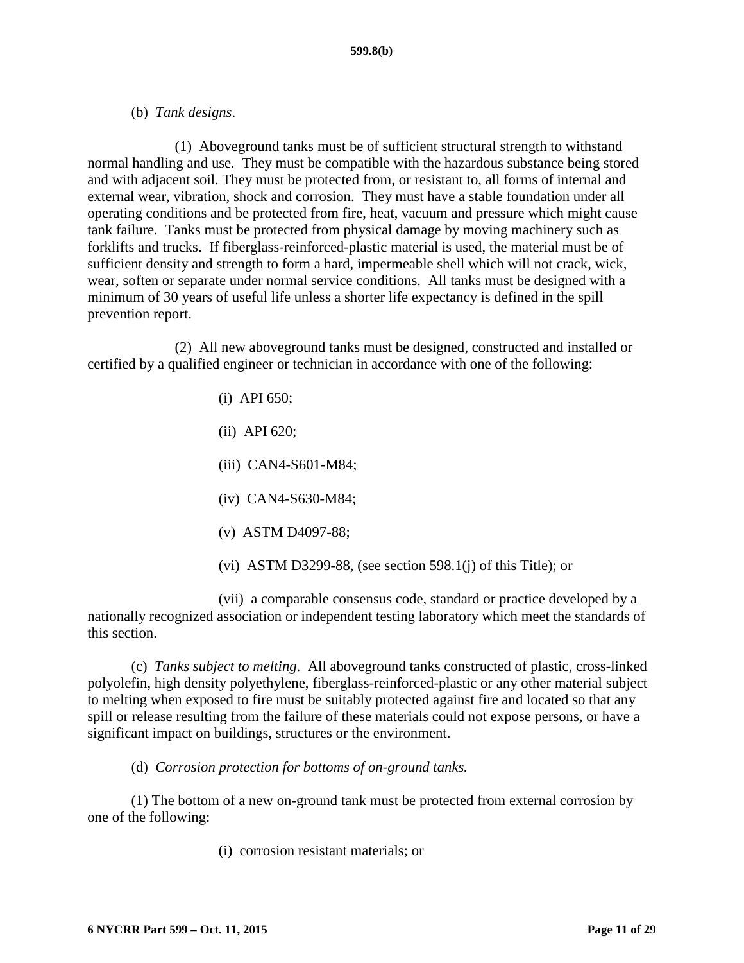(b) *Tank designs*.

(1) Aboveground tanks must be of sufficient structural strength to withstand normal handling and use. They must be compatible with the hazardous substance being stored and with adjacent soil. They must be protected from, or resistant to, all forms of internal and external wear, vibration, shock and corrosion. They must have a stable foundation under all operating conditions and be protected from fire, heat, vacuum and pressure which might cause tank failure. Tanks must be protected from physical damage by moving machinery such as forklifts and trucks. If fiberglass-reinforced-plastic material is used, the material must be of sufficient density and strength to form a hard, impermeable shell which will not crack, wick, wear, soften or separate under normal service conditions. All tanks must be designed with a minimum of 30 years of useful life unless a shorter life expectancy is defined in the spill prevention report.

(2) All new aboveground tanks must be designed, constructed and installed or certified by a qualified engineer or technician in accordance with one of the following:

- (i) API 650;
- (ii) API 620;
- (iii) CAN4-S601-M84;
- (iv) CAN4-S630-M84;
- (v) ASTM D4097-88;
- (vi) ASTM D3299-88, (see section 598.1(j) of this Title); or

(vii) a comparable consensus code, standard or practice developed by a nationally recognized association or independent testing laboratory which meet the standards of this section.

(c) *Tanks subject to melting*. All aboveground tanks constructed of plastic, cross-linked polyolefin, high density polyethylene, fiberglass-reinforced-plastic or any other material subject to melting when exposed to fire must be suitably protected against fire and located so that any spill or release resulting from the failure of these materials could not expose persons, or have a significant impact on buildings, structures or the environment.

(d) *Corrosion protection for bottoms of on-ground tanks.*

(1) The bottom of a new on-ground tank must be protected from external corrosion by one of the following:

(i) corrosion resistant materials; or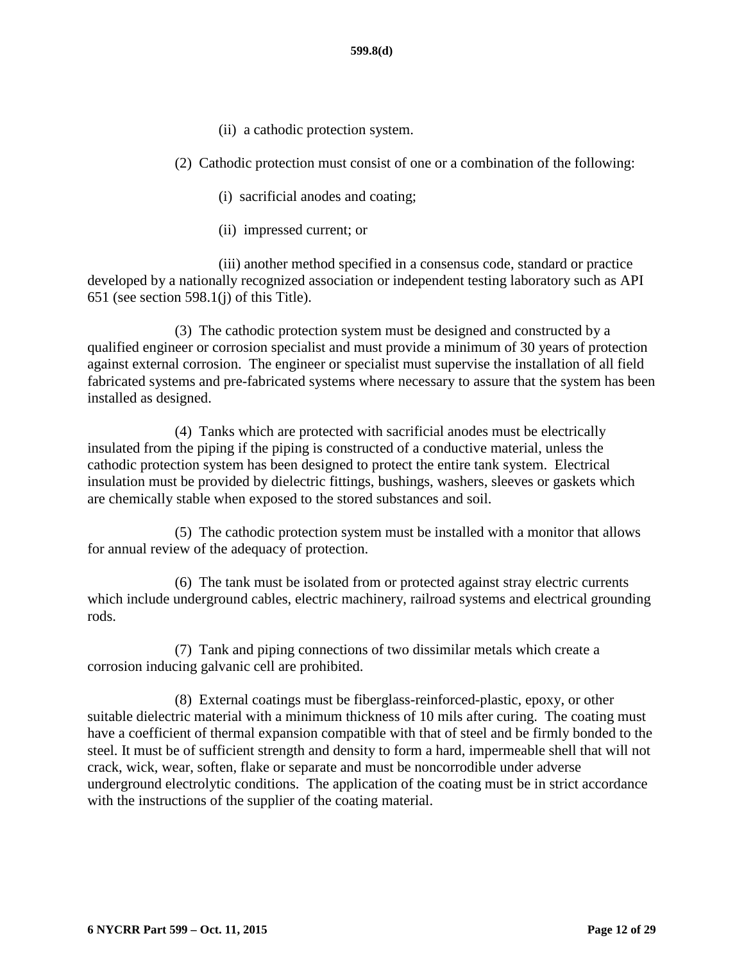- (ii) a cathodic protection system.
- (2) Cathodic protection must consist of one or a combination of the following:
	- (i) sacrificial anodes and coating;
	- (ii) impressed current; or

(iii) another method specified in a consensus code, standard or practice developed by a nationally recognized association or independent testing laboratory such as API 651 (see section 598.1(j) of this Title).

(3) The cathodic protection system must be designed and constructed by a qualified engineer or corrosion specialist and must provide a minimum of 30 years of protection against external corrosion. The engineer or specialist must supervise the installation of all field fabricated systems and pre-fabricated systems where necessary to assure that the system has been installed as designed.

(4) Tanks which are protected with sacrificial anodes must be electrically insulated from the piping if the piping is constructed of a conductive material, unless the cathodic protection system has been designed to protect the entire tank system. Electrical insulation must be provided by dielectric fittings, bushings, washers, sleeves or gaskets which are chemically stable when exposed to the stored substances and soil.

(5) The cathodic protection system must be installed with a monitor that allows for annual review of the adequacy of protection.

(6) The tank must be isolated from or protected against stray electric currents which include underground cables, electric machinery, railroad systems and electrical grounding rods.

(7) Tank and piping connections of two dissimilar metals which create a corrosion inducing galvanic cell are prohibited.

(8) External coatings must be fiberglass-reinforced-plastic, epoxy, or other suitable dielectric material with a minimum thickness of 10 mils after curing. The coating must have a coefficient of thermal expansion compatible with that of steel and be firmly bonded to the steel. It must be of sufficient strength and density to form a hard, impermeable shell that will not crack, wick, wear, soften, flake or separate and must be noncorrodible under adverse underground electrolytic conditions. The application of the coating must be in strict accordance with the instructions of the supplier of the coating material.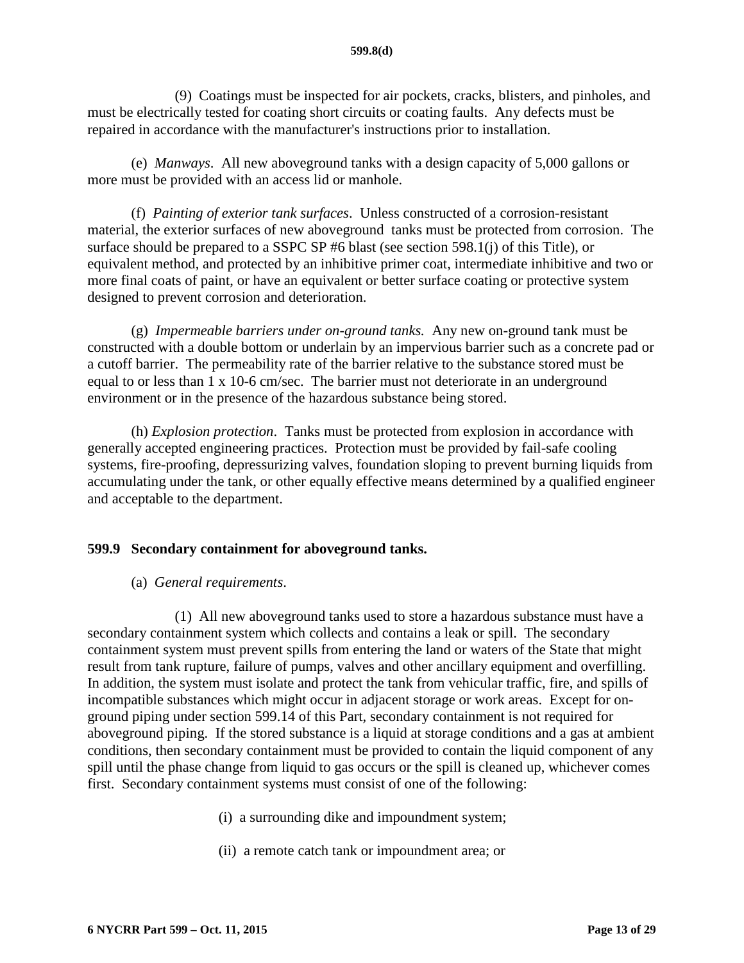(9) Coatings must be inspected for air pockets, cracks, blisters, and pinholes, and must be electrically tested for coating short circuits or coating faults. Any defects must be repaired in accordance with the manufacturer's instructions prior to installation.

(e) *Manways*. All new aboveground tanks with a design capacity of 5,000 gallons or more must be provided with an access lid or manhole.

(f) *Painting of exterior tank surfaces*. Unless constructed of a corrosion-resistant material, the exterior surfaces of new aboveground tanks must be protected from corrosion. The surface should be prepared to a SSPC SP #6 blast (see section 598.1(j) of this Title), or equivalent method, and protected by an inhibitive primer coat, intermediate inhibitive and two or more final coats of paint, or have an equivalent or better surface coating or protective system designed to prevent corrosion and deterioration.

(g) *Impermeable barriers under on-ground tanks.* Any new on-ground tank must be constructed with a double bottom or underlain by an impervious barrier such as a concrete pad or a cutoff barrier. The permeability rate of the barrier relative to the substance stored must be equal to or less than 1 x 10-6 cm/sec. The barrier must not deteriorate in an underground environment or in the presence of the hazardous substance being stored.

(h) *Explosion protection*. Tanks must be protected from explosion in accordance with generally accepted engineering practices. Protection must be provided by fail-safe cooling systems, fire-proofing, depressurizing valves, foundation sloping to prevent burning liquids from accumulating under the tank, or other equally effective means determined by a qualified engineer and acceptable to the department.

#### <span id="page-12-0"></span>**599.9 Secondary containment for aboveground tanks.**

#### (a) *General requirements*.

(1) All new aboveground tanks used to store a hazardous substance must have a secondary containment system which collects and contains a leak or spill. The secondary containment system must prevent spills from entering the land or waters of the State that might result from tank rupture, failure of pumps, valves and other ancillary equipment and overfilling. In addition, the system must isolate and protect the tank from vehicular traffic, fire, and spills of incompatible substances which might occur in adjacent storage or work areas. Except for onground piping under section 599.14 of this Part, secondary containment is not required for aboveground piping. If the stored substance is a liquid at storage conditions and a gas at ambient conditions, then secondary containment must be provided to contain the liquid component of any spill until the phase change from liquid to gas occurs or the spill is cleaned up, whichever comes first. Secondary containment systems must consist of one of the following:

- (i) a surrounding dike and impoundment system;
- (ii) a remote catch tank or impoundment area; or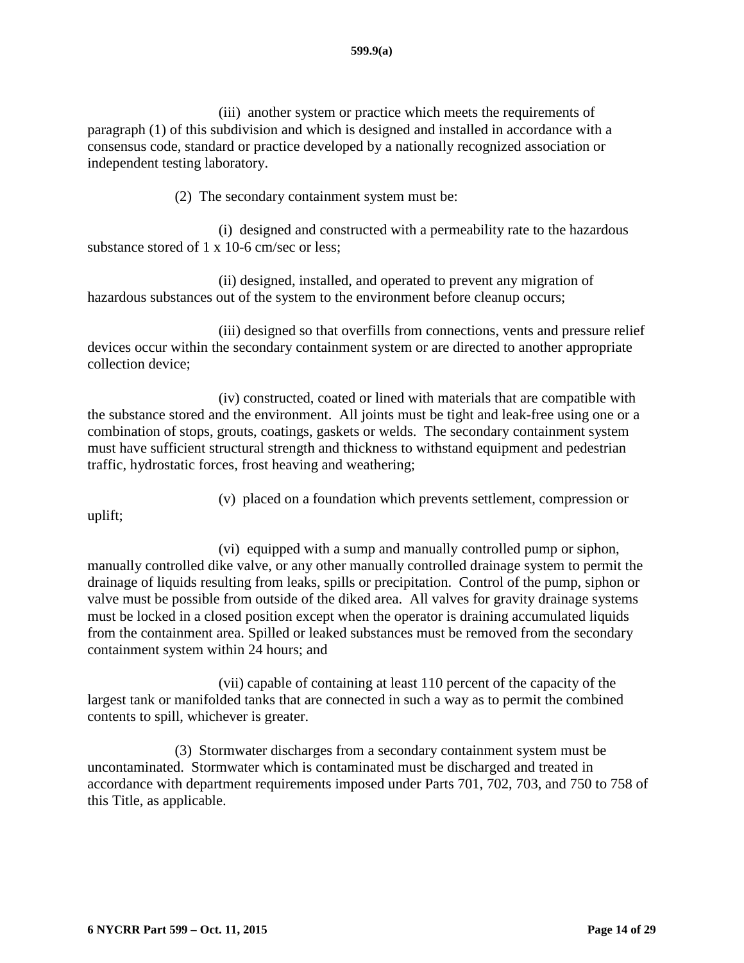(iii) another system or practice which meets the requirements of paragraph (1) of this subdivision and which is designed and installed in accordance with a consensus code, standard or practice developed by a nationally recognized association or independent testing laboratory.

(2) The secondary containment system must be:

(i) designed and constructed with a permeability rate to the hazardous substance stored of 1 x 10-6 cm/sec or less;

(ii) designed, installed, and operated to prevent any migration of hazardous substances out of the system to the environment before cleanup occurs;

(iii) designed so that overfills from connections, vents and pressure relief devices occur within the secondary containment system or are directed to another appropriate collection device;

(iv) constructed, coated or lined with materials that are compatible with the substance stored and the environment. All joints must be tight and leak-free using one or a combination of stops, grouts, coatings, gaskets or welds. The secondary containment system must have sufficient structural strength and thickness to withstand equipment and pedestrian traffic, hydrostatic forces, frost heaving and weathering;

uplift;

(vi) equipped with a sump and manually controlled pump or siphon,

(v) placed on a foundation which prevents settlement, compression or

manually controlled dike valve, or any other manually controlled drainage system to permit the drainage of liquids resulting from leaks, spills or precipitation. Control of the pump, siphon or valve must be possible from outside of the diked area. All valves for gravity drainage systems must be locked in a closed position except when the operator is draining accumulated liquids from the containment area. Spilled or leaked substances must be removed from the secondary containment system within 24 hours; and

(vii) capable of containing at least 110 percent of the capacity of the largest tank or manifolded tanks that are connected in such a way as to permit the combined contents to spill, whichever is greater.

(3) Stormwater discharges from a secondary containment system must be uncontaminated. Stormwater which is contaminated must be discharged and treated in accordance with department requirements imposed under Parts 701, 702, 703, and 750 to 758 of this Title, as applicable.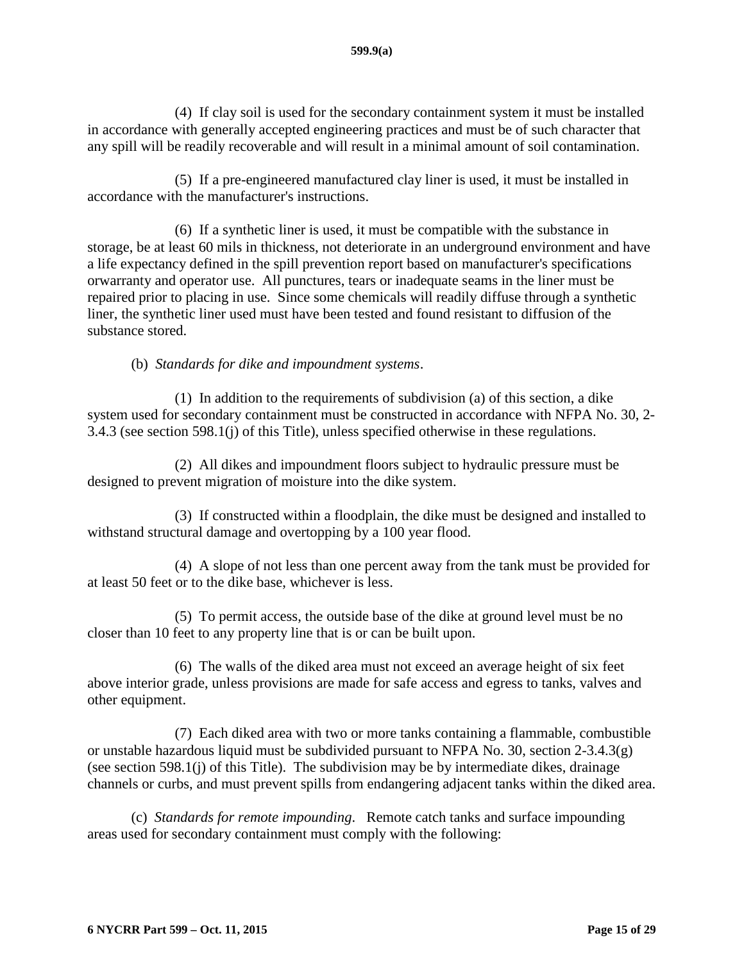(4) If clay soil is used for the secondary containment system it must be installed in accordance with generally accepted engineering practices and must be of such character that any spill will be readily recoverable and will result in a minimal amount of soil contamination.

(5) If a pre-engineered manufactured clay liner is used, it must be installed in accordance with the manufacturer's instructions.

(6) If a synthetic liner is used, it must be compatible with the substance in storage, be at least 60 mils in thickness, not deteriorate in an underground environment and have a life expectancy defined in the spill prevention report based on manufacturer's specifications orwarranty and operator use. All punctures, tears or inadequate seams in the liner must be repaired prior to placing in use. Since some chemicals will readily diffuse through a synthetic liner, the synthetic liner used must have been tested and found resistant to diffusion of the substance stored.

(b) *Standards for dike and impoundment systems*.

(1) In addition to the requirements of subdivision (a) of this section, a dike system used for secondary containment must be constructed in accordance with NFPA No. 30, 2- 3.4.3 (see section 598.1(j) of this Title), unless specified otherwise in these regulations.

(2) All dikes and impoundment floors subject to hydraulic pressure must be designed to prevent migration of moisture into the dike system.

(3) If constructed within a floodplain, the dike must be designed and installed to withstand structural damage and overtopping by a 100 year flood.

(4) A slope of not less than one percent away from the tank must be provided for at least 50 feet or to the dike base, whichever is less.

(5) To permit access, the outside base of the dike at ground level must be no closer than 10 feet to any property line that is or can be built upon.

(6) The walls of the diked area must not exceed an average height of six feet above interior grade, unless provisions are made for safe access and egress to tanks, valves and other equipment.

(7) Each diked area with two or more tanks containing a flammable, combustible or unstable hazardous liquid must be subdivided pursuant to NFPA No. 30, section 2-3.4.3(g) (see section 598.1(j) of this Title). The subdivision may be by intermediate dikes, drainage channels or curbs, and must prevent spills from endangering adjacent tanks within the diked area.

(c) *Standards for remote impounding*. Remote catch tanks and surface impounding areas used for secondary containment must comply with the following: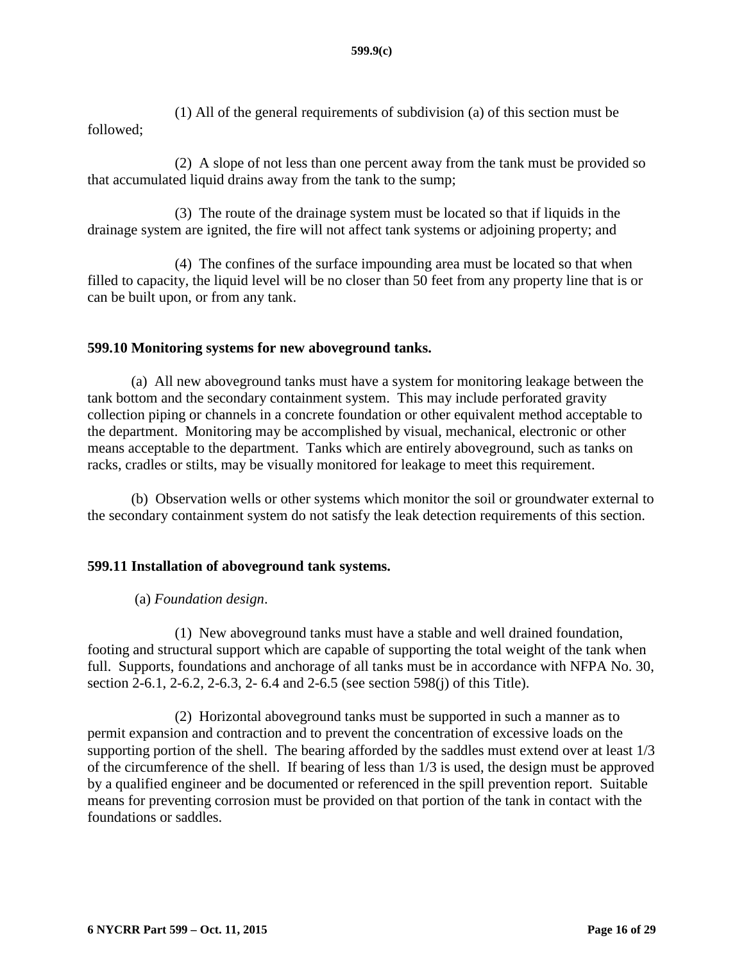(1) All of the general requirements of subdivision (a) of this section must be followed;

(2) A slope of not less than one percent away from the tank must be provided so that accumulated liquid drains away from the tank to the sump;

(3) The route of the drainage system must be located so that if liquids in the drainage system are ignited, the fire will not affect tank systems or adjoining property; and

(4) The confines of the surface impounding area must be located so that when filled to capacity, the liquid level will be no closer than 50 feet from any property line that is or can be built upon, or from any tank.

### <span id="page-15-0"></span>**599.10 Monitoring systems for new aboveground tanks.**

(a) All new aboveground tanks must have a system for monitoring leakage between the tank bottom and the secondary containment system. This may include perforated gravity collection piping or channels in a concrete foundation or other equivalent method acceptable to the department. Monitoring may be accomplished by visual, mechanical, electronic or other means acceptable to the department. Tanks which are entirely aboveground, such as tanks on racks, cradles or stilts, may be visually monitored for leakage to meet this requirement.

(b) Observation wells or other systems which monitor the soil or groundwater external to the secondary containment system do not satisfy the leak detection requirements of this section.

### <span id="page-15-1"></span>**599.11 Installation of aboveground tank systems.**

### (a) *Foundation design*.

(1) New aboveground tanks must have a stable and well drained foundation, footing and structural support which are capable of supporting the total weight of the tank when full. Supports, foundations and anchorage of all tanks must be in accordance with NFPA No. 30, section 2-6.1, 2-6.2, 2-6.3, 2- 6.4 and 2-6.5 (see section 598(j) of this Title).

(2) Horizontal aboveground tanks must be supported in such a manner as to permit expansion and contraction and to prevent the concentration of excessive loads on the supporting portion of the shell. The bearing afforded by the saddles must extend over at least 1/3 of the circumference of the shell. If bearing of less than 1/3 is used, the design must be approved by a qualified engineer and be documented or referenced in the spill prevention report. Suitable means for preventing corrosion must be provided on that portion of the tank in contact with the foundations or saddles.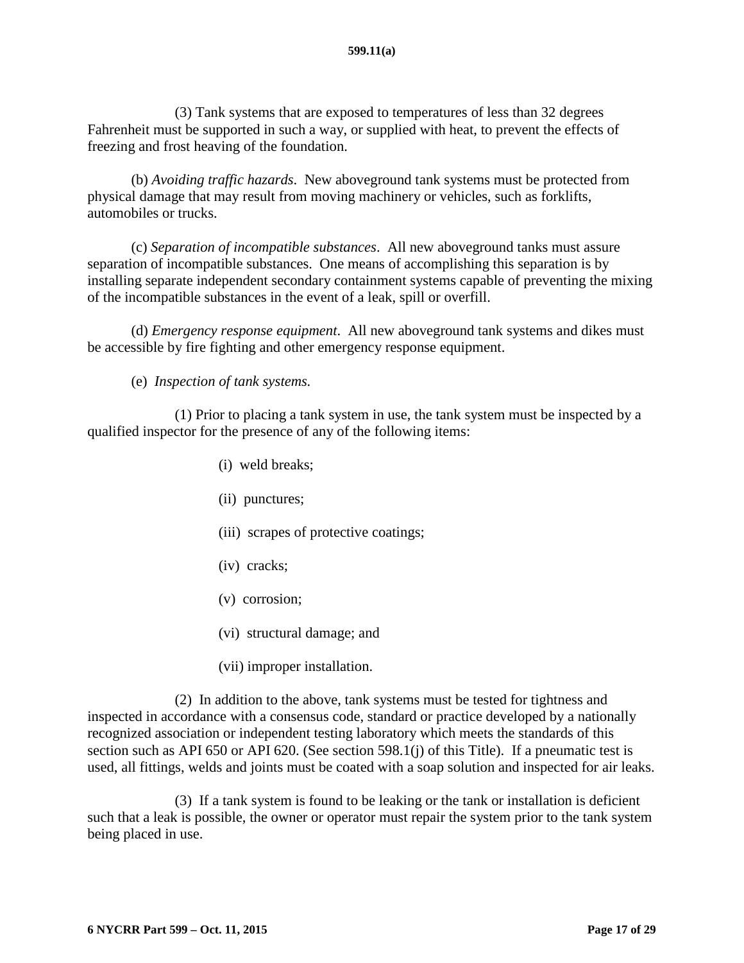(3) Tank systems that are exposed to temperatures of less than 32 degrees Fahrenheit must be supported in such a way, or supplied with heat, to prevent the effects of freezing and frost heaving of the foundation.

(b) *Avoiding traffic hazards*. New aboveground tank systems must be protected from physical damage that may result from moving machinery or vehicles, such as forklifts, automobiles or trucks.

(c) *Separation of incompatible substances*. All new aboveground tanks must assure separation of incompatible substances. One means of accomplishing this separation is by installing separate independent secondary containment systems capable of preventing the mixing of the incompatible substances in the event of a leak, spill or overfill.

(d) *Emergency response equipment*. All new aboveground tank systems and dikes must be accessible by fire fighting and other emergency response equipment.

(e) *Inspection of tank systems.*

(1) Prior to placing a tank system in use, the tank system must be inspected by a qualified inspector for the presence of any of the following items:

- (i) weld breaks;
- (ii) punctures;
- (iii) scrapes of protective coatings;
- (iv) cracks;
- (v) corrosion;
- (vi) structural damage; and
- (vii) improper installation.

(2) In addition to the above, tank systems must be tested for tightness and inspected in accordance with a consensus code, standard or practice developed by a nationally recognized association or independent testing laboratory which meets the standards of this section such as API 650 or API 620. (See section 598.1(j) of this Title). If a pneumatic test is used, all fittings, welds and joints must be coated with a soap solution and inspected for air leaks.

(3) If a tank system is found to be leaking or the tank or installation is deficient such that a leak is possible, the owner or operator must repair the system prior to the tank system being placed in use.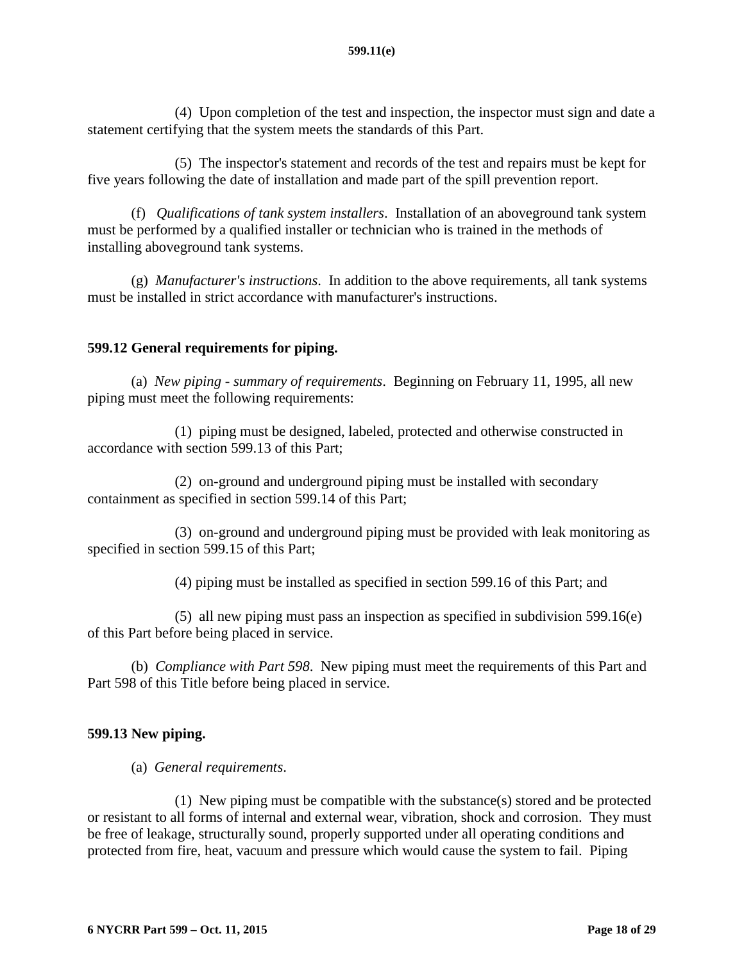(4) Upon completion of the test and inspection, the inspector must sign and date a statement certifying that the system meets the standards of this Part.

(5) The inspector's statement and records of the test and repairs must be kept for five years following the date of installation and made part of the spill prevention report.

(f) *Qualifications of tank system installers*. Installation of an aboveground tank system must be performed by a qualified installer or technician who is trained in the methods of installing aboveground tank systems.

(g) *Manufacturer's instructions*. In addition to the above requirements, all tank systems must be installed in strict accordance with manufacturer's instructions.

## <span id="page-17-0"></span>**599.12 General requirements for piping.**

(a) *New piping - summary of requirements*. Beginning on February 11, 1995, all new piping must meet the following requirements:

(1) piping must be designed, labeled, protected and otherwise constructed in accordance with section 599.13 of this Part;

(2) on-ground and underground piping must be installed with secondary containment as specified in section 599.14 of this Part;

(3) on-ground and underground piping must be provided with leak monitoring as specified in section 599.15 of this Part;

(4) piping must be installed as specified in section 599.16 of this Part; and

(5) all new piping must pass an inspection as specified in subdivision 599.16(e) of this Part before being placed in service.

(b) *Compliance with Part 598*. New piping must meet the requirements of this Part and Part 598 of this Title before being placed in service.

### <span id="page-17-1"></span>**599.13 New piping.**

(a) *General requirements*.

(1) New piping must be compatible with the substance(s) stored and be protected or resistant to all forms of internal and external wear, vibration, shock and corrosion. They must be free of leakage, structurally sound, properly supported under all operating conditions and protected from fire, heat, vacuum and pressure which would cause the system to fail. Piping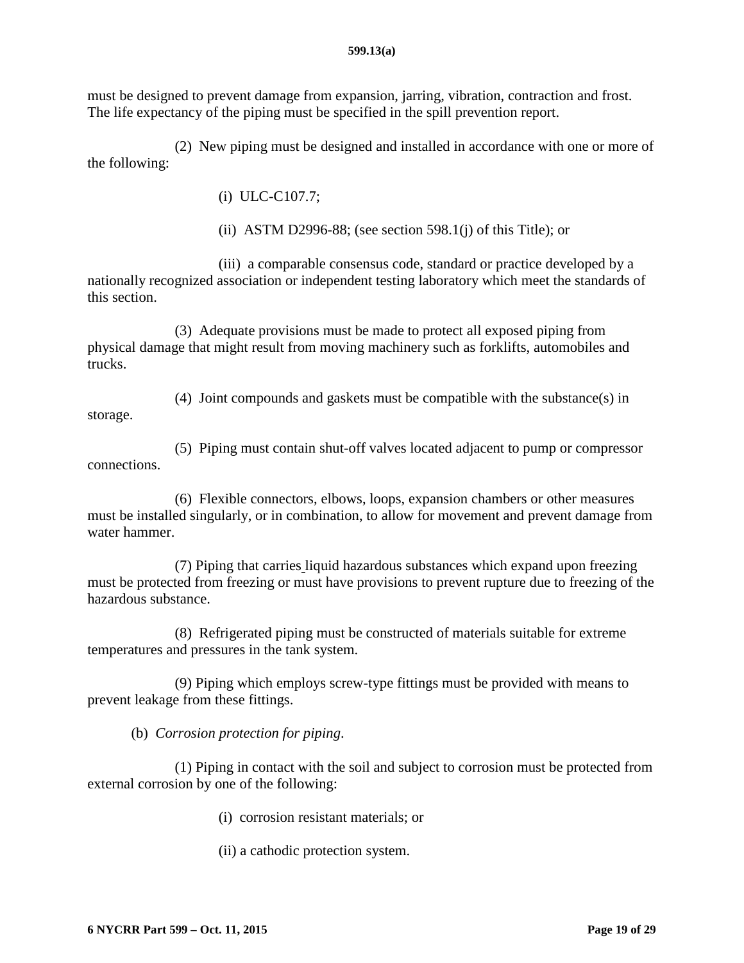must be designed to prevent damage from expansion, jarring, vibration, contraction and frost. The life expectancy of the piping must be specified in the spill prevention report.

(2) New piping must be designed and installed in accordance with one or more of the following:

(i) ULC-C107.7;

(ii) ASTM D2996-88; (see section 598.1(j) of this Title); or

(iii) a comparable consensus code, standard or practice developed by a nationally recognized association or independent testing laboratory which meet the standards of this section.

(3) Adequate provisions must be made to protect all exposed piping from physical damage that might result from moving machinery such as forklifts, automobiles and trucks.

(4) Joint compounds and gaskets must be compatible with the substance(s) in storage.

(5) Piping must contain shut-off valves located adjacent to pump or compressor connections.

(6) Flexible connectors, elbows, loops, expansion chambers or other measures must be installed singularly, or in combination, to allow for movement and prevent damage from water hammer.

(7) Piping that carries liquid hazardous substances which expand upon freezing must be protected from freezing or must have provisions to prevent rupture due to freezing of the hazardous substance.

(8) Refrigerated piping must be constructed of materials suitable for extreme temperatures and pressures in the tank system.

(9) Piping which employs screw-type fittings must be provided with means to prevent leakage from these fittings.

(b) *Corrosion protection for piping*.

(1) Piping in contact with the soil and subject to corrosion must be protected from external corrosion by one of the following:

- (i) corrosion resistant materials; or
- (ii) a cathodic protection system.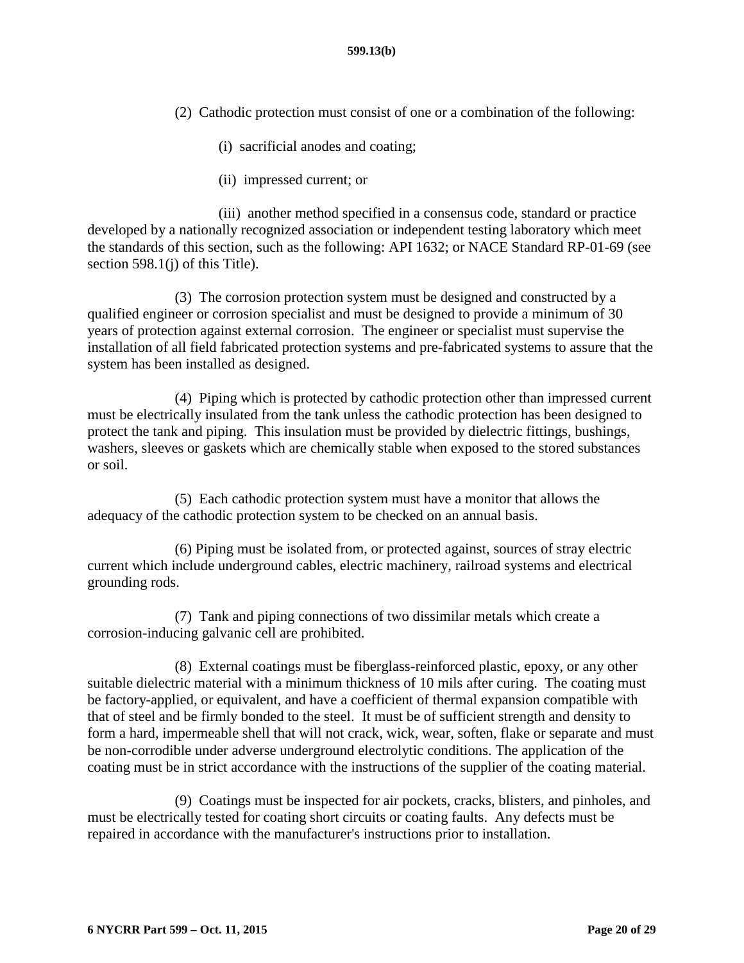- (2) Cathodic protection must consist of one or a combination of the following:
	- (i) sacrificial anodes and coating;
	- (ii) impressed current; or

(iii) another method specified in a consensus code, standard or practice developed by a nationally recognized association or independent testing laboratory which meet the standards of this section, such as the following: API 1632; or NACE Standard RP-01-69 (see section 598.1(j) of this Title).

(3) The corrosion protection system must be designed and constructed by a qualified engineer or corrosion specialist and must be designed to provide a minimum of 30 years of protection against external corrosion. The engineer or specialist must supervise the installation of all field fabricated protection systems and pre-fabricated systems to assure that the system has been installed as designed.

(4) Piping which is protected by cathodic protection other than impressed current must be electrically insulated from the tank unless the cathodic protection has been designed to protect the tank and piping. This insulation must be provided by dielectric fittings, bushings, washers, sleeves or gaskets which are chemically stable when exposed to the stored substances or soil.

(5) Each cathodic protection system must have a monitor that allows the adequacy of the cathodic protection system to be checked on an annual basis.

(6) Piping must be isolated from, or protected against, sources of stray electric current which include underground cables, electric machinery, railroad systems and electrical grounding rods.

(7) Tank and piping connections of two dissimilar metals which create a corrosion-inducing galvanic cell are prohibited.

(8) External coatings must be fiberglass-reinforced plastic, epoxy, or any other suitable dielectric material with a minimum thickness of 10 mils after curing. The coating must be factory-applied, or equivalent, and have a coefficient of thermal expansion compatible with that of steel and be firmly bonded to the steel. It must be of sufficient strength and density to form a hard, impermeable shell that will not crack, wick, wear, soften, flake or separate and must be non-corrodible under adverse underground electrolytic conditions. The application of the coating must be in strict accordance with the instructions of the supplier of the coating material.

(9) Coatings must be inspected for air pockets, cracks, blisters, and pinholes, and must be electrically tested for coating short circuits or coating faults. Any defects must be repaired in accordance with the manufacturer's instructions prior to installation.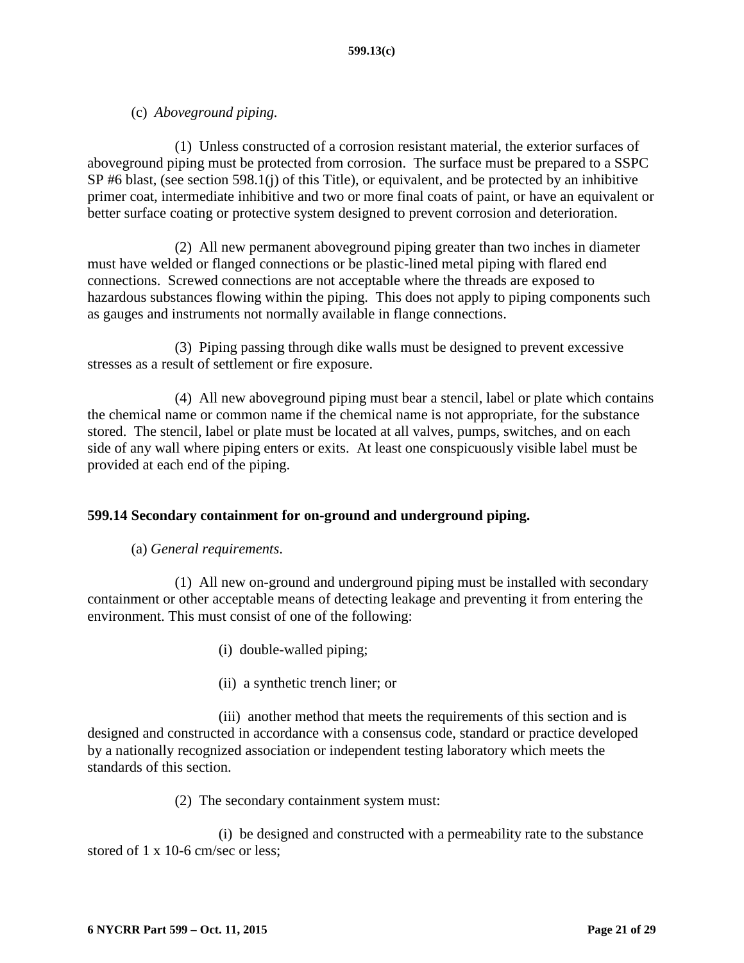## (c) *Aboveground piping.*

(1) Unless constructed of a corrosion resistant material, the exterior surfaces of aboveground piping must be protected from corrosion. The surface must be prepared to a SSPC SP #6 blast, (see section 598.1(j) of this Title), or equivalent, and be protected by an inhibitive primer coat, intermediate inhibitive and two or more final coats of paint, or have an equivalent or better surface coating or protective system designed to prevent corrosion and deterioration.

(2) All new permanent aboveground piping greater than two inches in diameter must have welded or flanged connections or be plastic-lined metal piping with flared end connections. Screwed connections are not acceptable where the threads are exposed to hazardous substances flowing within the piping. This does not apply to piping components such as gauges and instruments not normally available in flange connections.

(3) Piping passing through dike walls must be designed to prevent excessive stresses as a result of settlement or fire exposure.

(4) All new aboveground piping must bear a stencil, label or plate which contains the chemical name or common name if the chemical name is not appropriate, for the substance stored. The stencil, label or plate must be located at all valves, pumps, switches, and on each side of any wall where piping enters or exits. At least one conspicuously visible label must be provided at each end of the piping.

### <span id="page-20-0"></span>**599.14 Secondary containment for on-ground and underground piping.**

### (a) *General requirements*.

(1) All new on-ground and underground piping must be installed with secondary containment or other acceptable means of detecting leakage and preventing it from entering the environment. This must consist of one of the following:

- (i) double-walled piping;
- (ii) a synthetic trench liner; or

(iii) another method that meets the requirements of this section and is designed and constructed in accordance with a consensus code, standard or practice developed by a nationally recognized association or independent testing laboratory which meets the standards of this section.

(2) The secondary containment system must:

(i) be designed and constructed with a permeability rate to the substance stored of 1 x 10-6 cm/sec or less;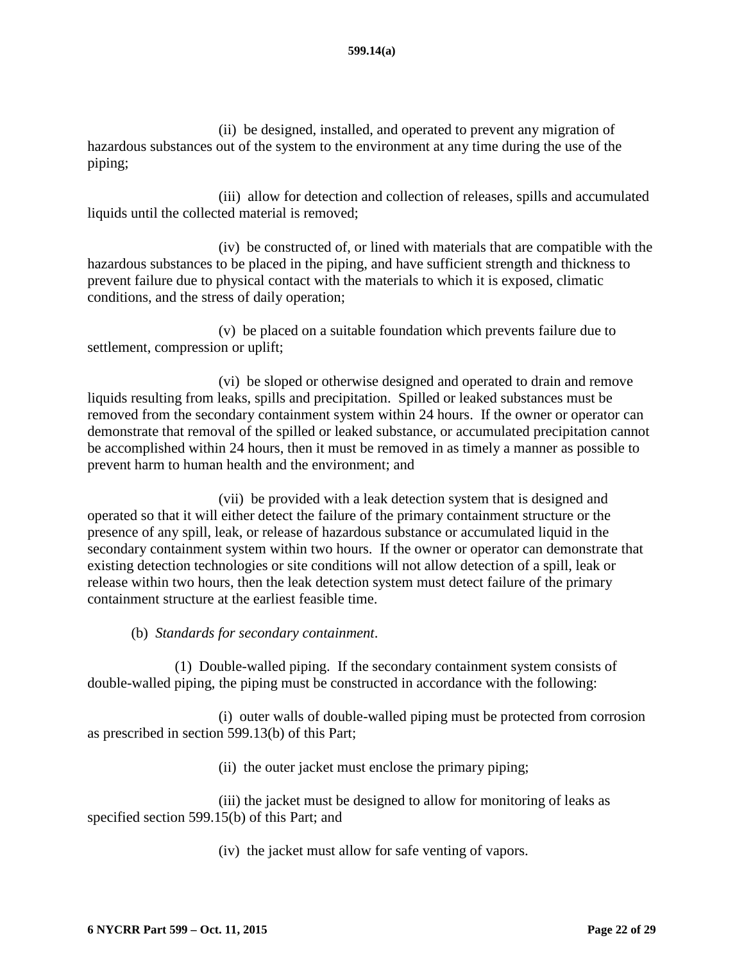(ii) be designed, installed, and operated to prevent any migration of hazardous substances out of the system to the environment at any time during the use of the piping;

(iii) allow for detection and collection of releases, spills and accumulated liquids until the collected material is removed;

(iv) be constructed of, or lined with materials that are compatible with the hazardous substances to be placed in the piping, and have sufficient strength and thickness to prevent failure due to physical contact with the materials to which it is exposed, climatic conditions, and the stress of daily operation;

(v) be placed on a suitable foundation which prevents failure due to settlement, compression or uplift;

(vi) be sloped or otherwise designed and operated to drain and remove liquids resulting from leaks, spills and precipitation. Spilled or leaked substances must be removed from the secondary containment system within 24 hours. If the owner or operator can demonstrate that removal of the spilled or leaked substance, or accumulated precipitation cannot be accomplished within 24 hours, then it must be removed in as timely a manner as possible to prevent harm to human health and the environment; and

(vii) be provided with a leak detection system that is designed and operated so that it will either detect the failure of the primary containment structure or the presence of any spill, leak, or release of hazardous substance or accumulated liquid in the secondary containment system within two hours. If the owner or operator can demonstrate that existing detection technologies or site conditions will not allow detection of a spill, leak or release within two hours, then the leak detection system must detect failure of the primary containment structure at the earliest feasible time.

(b) *Standards for secondary containment*.

(1) Double-walled piping. If the secondary containment system consists of double-walled piping, the piping must be constructed in accordance with the following:

(i) outer walls of double-walled piping must be protected from corrosion as prescribed in section 599.13(b) of this Part;

(ii) the outer jacket must enclose the primary piping;

(iii) the jacket must be designed to allow for monitoring of leaks as specified section 599.15(b) of this Part; and

(iv) the jacket must allow for safe venting of vapors.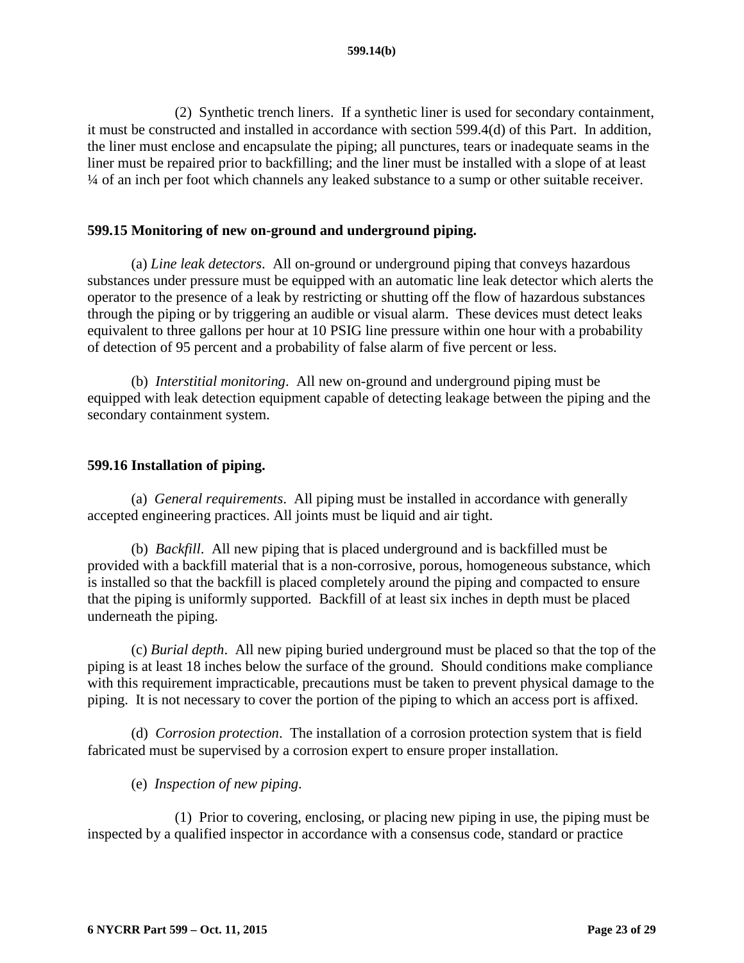(2) Synthetic trench liners. If a synthetic liner is used for secondary containment, it must be constructed and installed in accordance with section 599.4(d) of this Part. In addition, the liner must enclose and encapsulate the piping; all punctures, tears or inadequate seams in the liner must be repaired prior to backfilling; and the liner must be installed with a slope of at least ¼ of an inch per foot which channels any leaked substance to a sump or other suitable receiver.

#### <span id="page-22-0"></span>**599.15 Monitoring of new on-ground and underground piping.**

(a) *Line leak detectors*. All on-ground or underground piping that conveys hazardous substances under pressure must be equipped with an automatic line leak detector which alerts the operator to the presence of a leak by restricting or shutting off the flow of hazardous substances through the piping or by triggering an audible or visual alarm. These devices must detect leaks equivalent to three gallons per hour at 10 PSIG line pressure within one hour with a probability of detection of 95 percent and a probability of false alarm of five percent or less.

(b) *Interstitial monitoring*. All new on-ground and underground piping must be equipped with leak detection equipment capable of detecting leakage between the piping and the secondary containment system.

#### <span id="page-22-1"></span>**599.16 Installation of piping.**

(a) *General requirements*. All piping must be installed in accordance with generally accepted engineering practices. All joints must be liquid and air tight.

(b) *Backfill*. All new piping that is placed underground and is backfilled must be provided with a backfill material that is a non-corrosive, porous, homogeneous substance, which is installed so that the backfill is placed completely around the piping and compacted to ensure that the piping is uniformly supported. Backfill of at least six inches in depth must be placed underneath the piping.

(c) *Burial depth*. All new piping buried underground must be placed so that the top of the piping is at least 18 inches below the surface of the ground. Should conditions make compliance with this requirement impracticable, precautions must be taken to prevent physical damage to the piping. It is not necessary to cover the portion of the piping to which an access port is affixed.

(d) *Corrosion protection*. The installation of a corrosion protection system that is field fabricated must be supervised by a corrosion expert to ensure proper installation.

(e) *Inspection of new piping*.

(1) Prior to covering, enclosing, or placing new piping in use, the piping must be inspected by a qualified inspector in accordance with a consensus code, standard or practice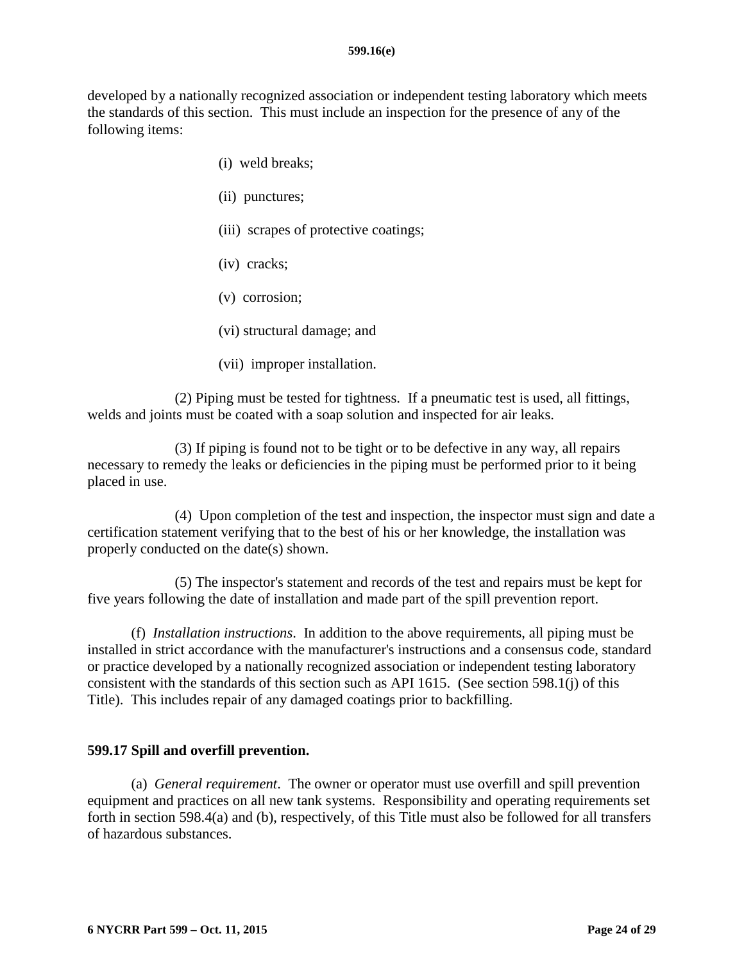developed by a nationally recognized association or independent testing laboratory which meets the standards of this section. This must include an inspection for the presence of any of the following items:

- (i) weld breaks;
- (ii) punctures;
- (iii) scrapes of protective coatings;
- (iv) cracks;
- (v) corrosion;
- (vi) structural damage; and
- (vii) improper installation.

(2) Piping must be tested for tightness. If a pneumatic test is used, all fittings, welds and joints must be coated with a soap solution and inspected for air leaks.

(3) If piping is found not to be tight or to be defective in any way, all repairs necessary to remedy the leaks or deficiencies in the piping must be performed prior to it being placed in use.

(4) Upon completion of the test and inspection, the inspector must sign and date a certification statement verifying that to the best of his or her knowledge, the installation was properly conducted on the date(s) shown.

(5) The inspector's statement and records of the test and repairs must be kept for five years following the date of installation and made part of the spill prevention report.

(f) *Installation instructions*. In addition to the above requirements, all piping must be installed in strict accordance with the manufacturer's instructions and a consensus code, standard or practice developed by a nationally recognized association or independent testing laboratory consistent with the standards of this section such as API 1615. (See section 598.1(j) of this Title). This includes repair of any damaged coatings prior to backfilling.

### <span id="page-23-0"></span>**599.17 Spill and overfill prevention.**

(a) *General requirement*. The owner or operator must use overfill and spill prevention equipment and practices on all new tank systems. Responsibility and operating requirements set forth in section 598.4(a) and (b), respectively, of this Title must also be followed for all transfers of hazardous substances.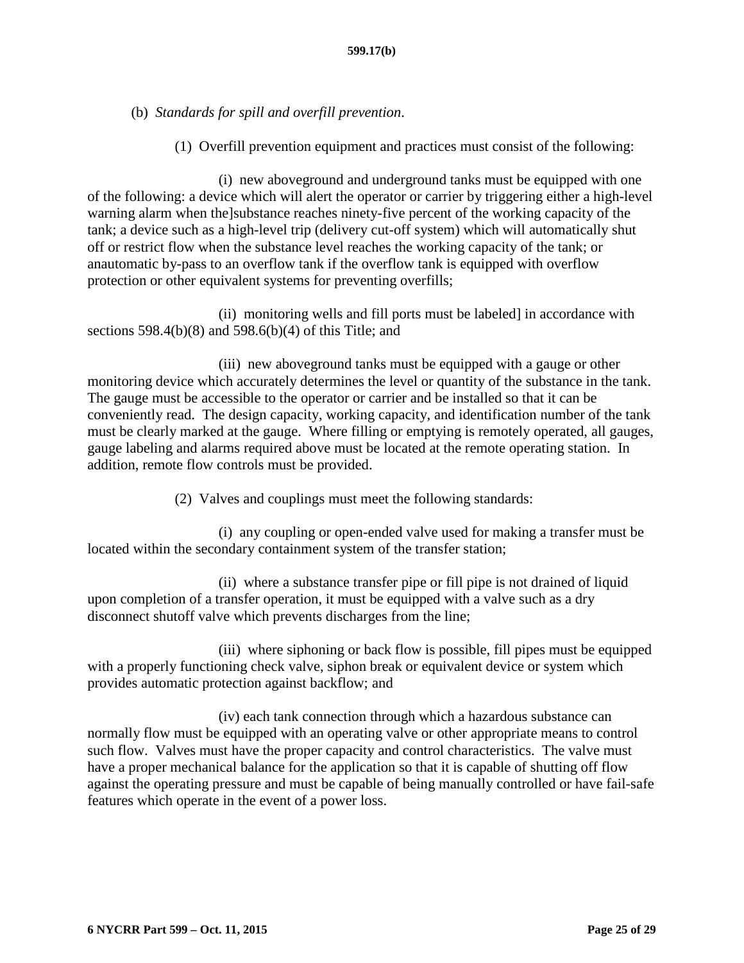(b) *Standards for spill and overfill prevention*.

(1) Overfill prevention equipment and practices must consist of the following:

(i) new aboveground and underground tanks must be equipped with one of the following: a device which will alert the operator or carrier by triggering either a high-level warning alarm when the]substance reaches ninety-five percent of the working capacity of the tank; a device such as a high-level trip (delivery cut-off system) which will automatically shut off or restrict flow when the substance level reaches the working capacity of the tank; or anautomatic by-pass to an overflow tank if the overflow tank is equipped with overflow protection or other equivalent systems for preventing overfills;

(ii) monitoring wells and fill ports must be labeled] in accordance with sections 598.4(b)(8) and 598.6(b)(4) of this Title; and

(iii) new aboveground tanks must be equipped with a gauge or other monitoring device which accurately determines the level or quantity of the substance in the tank. The gauge must be accessible to the operator or carrier and be installed so that it can be conveniently read. The design capacity, working capacity, and identification number of the tank must be clearly marked at the gauge. Where filling or emptying is remotely operated, all gauges, gauge labeling and alarms required above must be located at the remote operating station. In addition, remote flow controls must be provided.

(2) Valves and couplings must meet the following standards:

(i) any coupling or open-ended valve used for making a transfer must be located within the secondary containment system of the transfer station;

(ii) where a substance transfer pipe or fill pipe is not drained of liquid upon completion of a transfer operation, it must be equipped with a valve such as a dry disconnect shutoff valve which prevents discharges from the line;

(iii) where siphoning or back flow is possible, fill pipes must be equipped with a properly functioning check valve, siphon break or equivalent device or system which provides automatic protection against backflow; and

(iv) each tank connection through which a hazardous substance can normally flow must be equipped with an operating valve or other appropriate means to control such flow. Valves must have the proper capacity and control characteristics. The valve must have a proper mechanical balance for the application so that it is capable of shutting off flow against the operating pressure and must be capable of being manually controlled or have fail-safe features which operate in the event of a power loss.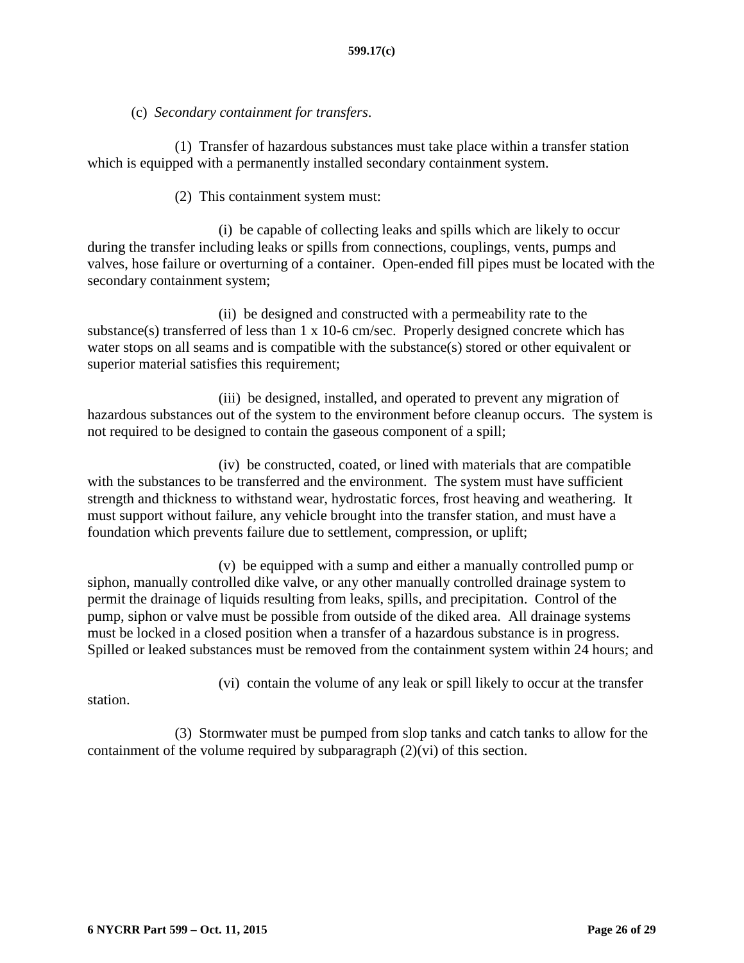## (c) *Secondary containment for transfers*.

(1) Transfer of hazardous substances must take place within a transfer station which is equipped with a permanently installed secondary containment system.

### (2) This containment system must:

(i) be capable of collecting leaks and spills which are likely to occur during the transfer including leaks or spills from connections, couplings, vents, pumps and valves, hose failure or overturning of a container. Open-ended fill pipes must be located with the secondary containment system;

(ii) be designed and constructed with a permeability rate to the substance(s) transferred of less than 1 x 10-6 cm/sec. Properly designed concrete which has water stops on all seams and is compatible with the substance(s) stored or other equivalent or superior material satisfies this requirement;

(iii) be designed, installed, and operated to prevent any migration of hazardous substances out of the system to the environment before cleanup occurs. The system is not required to be designed to contain the gaseous component of a spill;

(iv) be constructed, coated, or lined with materials that are compatible with the substances to be transferred and the environment. The system must have sufficient strength and thickness to withstand wear, hydrostatic forces, frost heaving and weathering. It must support without failure, any vehicle brought into the transfer station, and must have a foundation which prevents failure due to settlement, compression, or uplift;

(v) be equipped with a sump and either a manually controlled pump or siphon, manually controlled dike valve, or any other manually controlled drainage system to permit the drainage of liquids resulting from leaks, spills, and precipitation. Control of the pump, siphon or valve must be possible from outside of the diked area. All drainage systems must be locked in a closed position when a transfer of a hazardous substance is in progress. Spilled or leaked substances must be removed from the containment system within 24 hours; and

(vi) contain the volume of any leak or spill likely to occur at the transfer

station.

(3) Stormwater must be pumped from slop tanks and catch tanks to allow for the containment of the volume required by subparagraph (2)(vi) of this section.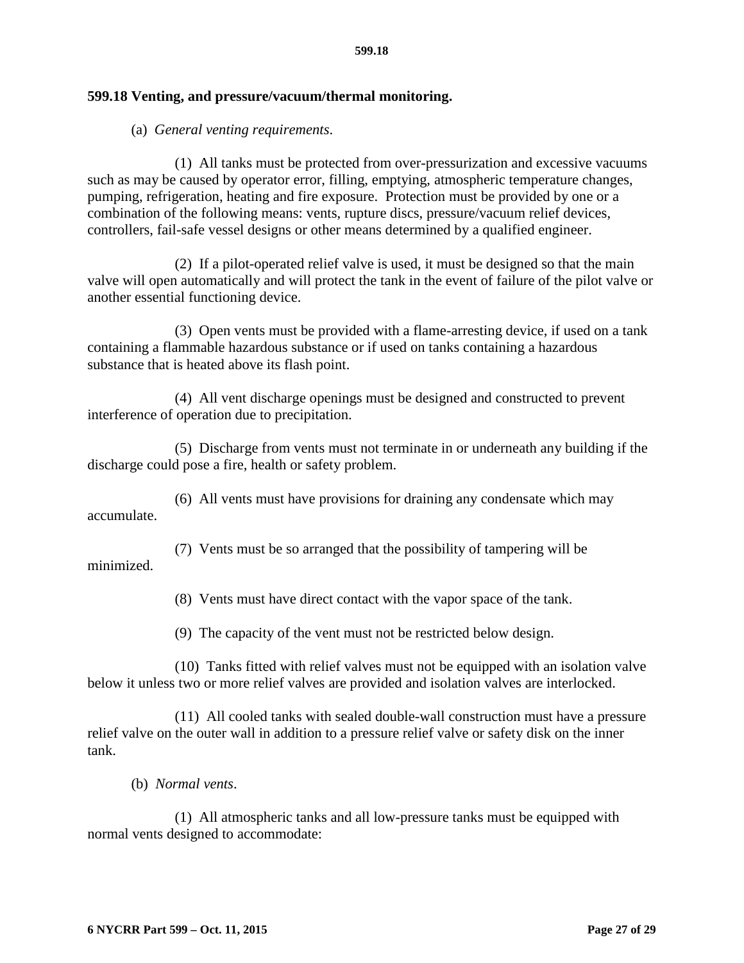#### <span id="page-26-0"></span>**599.18 Venting, and pressure/vacuum/thermal monitoring.**

#### (a) *General venting requirements*.

(1) All tanks must be protected from over-pressurization and excessive vacuums such as may be caused by operator error, filling, emptying, atmospheric temperature changes, pumping, refrigeration, heating and fire exposure. Protection must be provided by one or a combination of the following means: vents, rupture discs, pressure/vacuum relief devices, controllers, fail-safe vessel designs or other means determined by a qualified engineer.

(2) If a pilot-operated relief valve is used, it must be designed so that the main valve will open automatically and will protect the tank in the event of failure of the pilot valve or another essential functioning device.

(3) Open vents must be provided with a flame-arresting device, if used on a tank containing a flammable hazardous substance or if used on tanks containing a hazardous substance that is heated above its flash point.

(4) All vent discharge openings must be designed and constructed to prevent interference of operation due to precipitation.

(5) Discharge from vents must not terminate in or underneath any building if the discharge could pose a fire, health or safety problem.

(6) All vents must have provisions for draining any condensate which may accumulate.

(7) Vents must be so arranged that the possibility of tampering will be

minimized.

(8) Vents must have direct contact with the vapor space of the tank.

(9) The capacity of the vent must not be restricted below design.

(10) Tanks fitted with relief valves must not be equipped with an isolation valve below it unless two or more relief valves are provided and isolation valves are interlocked.

(11) All cooled tanks with sealed double-wall construction must have a pressure relief valve on the outer wall in addition to a pressure relief valve or safety disk on the inner tank.

(b) *Normal vents*.

(1) All atmospheric tanks and all low-pressure tanks must be equipped with normal vents designed to accommodate: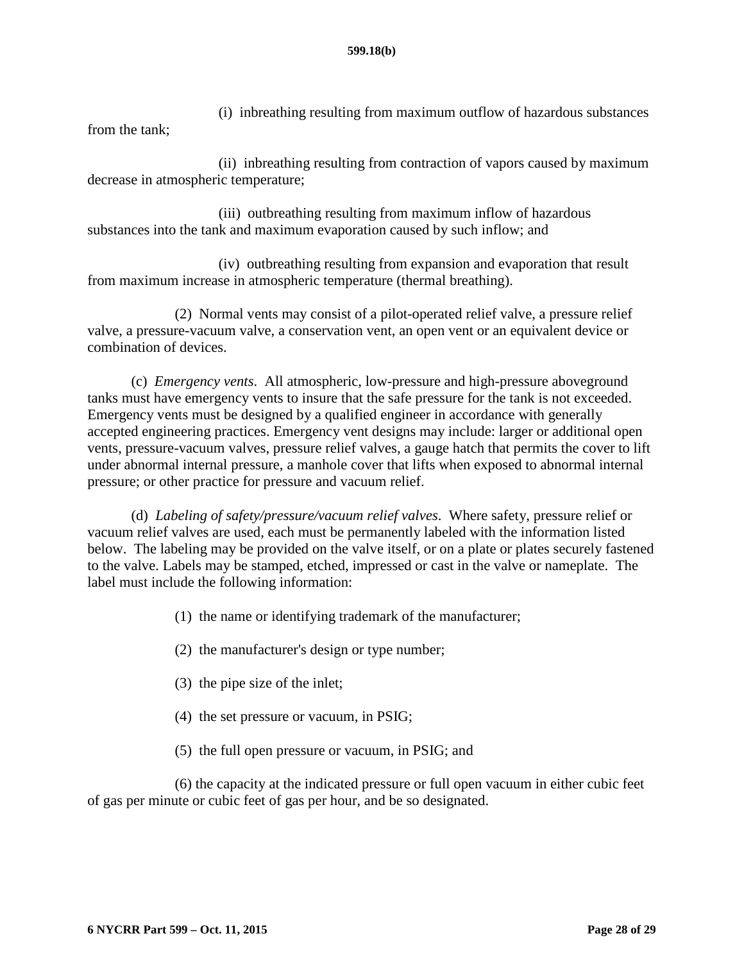(i) inbreathing resulting from maximum outflow of hazardous substances from the tank;

(ii) inbreathing resulting from contraction of vapors caused by maximum decrease in atmospheric temperature;

(iii) outbreathing resulting from maximum inflow of hazardous substances into the tank and maximum evaporation caused by such inflow; and

(iv) outbreathing resulting from expansion and evaporation that result from maximum increase in atmospheric temperature (thermal breathing).

(2) Normal vents may consist of a pilot-operated relief valve, a pressure relief valve, a pressure-vacuum valve, a conservation vent, an open vent or an equivalent device or combination of devices.

(c) *Emergency vents*. All atmospheric, low-pressure and high-pressure aboveground tanks must have emergency vents to insure that the safe pressure for the tank is not exceeded. Emergency vents must be designed by a qualified engineer in accordance with generally accepted engineering practices. Emergency vent designs may include: larger or additional open vents, pressure-vacuum valves, pressure relief valves, a gauge hatch that permits the cover to lift under abnormal internal pressure, a manhole cover that lifts when exposed to abnormal internal pressure; or other practice for pressure and vacuum relief.

(d) *Labeling of safety/pressure/vacuum relief valves*. Where safety, pressure relief or vacuum relief valves are used, each must be permanently labeled with the information listed below. The labeling may be provided on the valve itself, or on a plate or plates securely fastened to the valve. Labels may be stamped, etched, impressed or cast in the valve or nameplate. The label must include the following information:

- (1) the name or identifying trademark of the manufacturer;
- (2) the manufacturer's design or type number;
- (3) the pipe size of the inlet;
- (4) the set pressure or vacuum, in PSIG;
- (5) the full open pressure or vacuum, in PSIG; and

(6) the capacity at the indicated pressure or full open vacuum in either cubic feet of gas per minute or cubic feet of gas per hour, and be so designated.